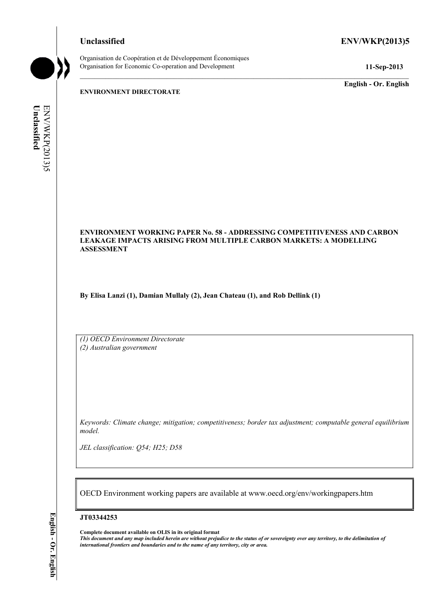# **Unclassified ENV/WKP(2013)5**

Organisation de Coopération et de Développement Économiques Organisation for Economic Co-operation and Development **11-Sep-2013** 

**English - Or. English** 

**ENVIRONMENT DIRECTORATE** 

Unclassified ENV/WKP(2013)5 **Unclassified**  ENV/WKP(2013)5

## **ENVIRONMENT WORKING PAPER No. 58 - ADDRESSING COMPETITIVENESS AND CARBON LEAKAGE IMPACTS ARISING FROM MULTIPLE CARBON MARKETS: A MODELLING ASSESSMENT**

**By Elisa Lanzi (1), Damian Mullaly (2), Jean Chateau (1), and Rob Dellink (1)** 

*(1) OECD Environment Directorate (2) Australian government* 

*Keywords: Climate change; mitigation; competitiveness; border tax adjustment; computable general equilibrium model.* 

*JEL classification: Q54; H25; D58* 

OECD Environment working papers are available at www.oecd.org/env/workingpapers.htm

## **JT03344253**

**Complete document available on OLIS in its original format** *This document and any map included herein are without prejudice to the status of or sovereignty over any territory, to the delimitation of international frontiers and boundaries and to the name of any territory, city or area.*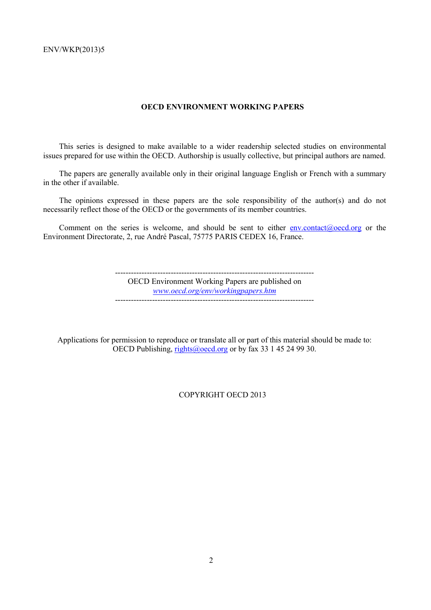## **OECD ENVIRONMENT WORKING PAPERS**

This series is designed to make available to a wider readership selected studies on environmental issues prepared for use within the OECD. Authorship is usually collective, but principal authors are named.

The papers are generally available only in their original language English or French with a summary in the other if available.

The opinions expressed in these papers are the sole responsibility of the author(s) and do not necessarily reflect those of the OECD or the governments of its member countries.

Comment on the series is welcome, and should be sent to either env.contact@oecd.org or the Environment Directorate, 2, rue André Pascal, 75775 PARIS CEDEX 16, France.

> --------------------------------------------------------------------------- OECD Environment Working Papers are published on *www.oecd.org/env/workingpapers.htm* ---------------------------------------------------------------------------

Applications for permission to reproduce or translate all or part of this material should be made to: OECD Publishing, rights@oecd.org or by fax 33 1 45 24 99 30.

COPYRIGHT OECD 2013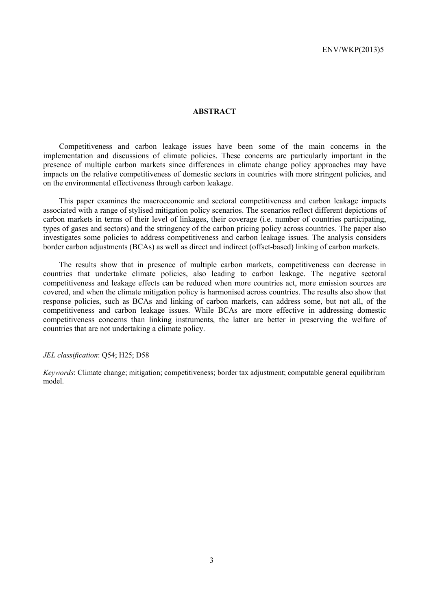## **ABSTRACT**

Competitiveness and carbon leakage issues have been some of the main concerns in the implementation and discussions of climate policies. These concerns are particularly important in the presence of multiple carbon markets since differences in climate change policy approaches may have impacts on the relative competitiveness of domestic sectors in countries with more stringent policies, and on the environmental effectiveness through carbon leakage.

This paper examines the macroeconomic and sectoral competitiveness and carbon leakage impacts associated with a range of stylised mitigation policy scenarios. The scenarios reflect different depictions of carbon markets in terms of their level of linkages, their coverage (i.e. number of countries participating, types of gases and sectors) and the stringency of the carbon pricing policy across countries. The paper also investigates some policies to address competitiveness and carbon leakage issues. The analysis considers border carbon adjustments (BCAs) as well as direct and indirect (offset-based) linking of carbon markets.

The results show that in presence of multiple carbon markets, competitiveness can decrease in countries that undertake climate policies, also leading to carbon leakage. The negative sectoral competitiveness and leakage effects can be reduced when more countries act, more emission sources are covered, and when the climate mitigation policy is harmonised across countries. The results also show that response policies, such as BCAs and linking of carbon markets, can address some, but not all, of the competitiveness and carbon leakage issues. While BCAs are more effective in addressing domestic competitiveness concerns than linking instruments, the latter are better in preserving the welfare of countries that are not undertaking a climate policy.

## *JEL classification*: Q54; H25; D58

*Keywords*: Climate change; mitigation; competitiveness; border tax adjustment; computable general equilibrium model.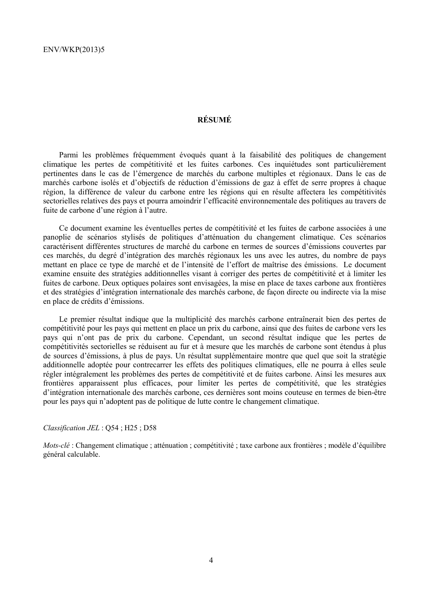# **RÉSUMÉ**

Parmi les problèmes fréquemment évoqués quant à la faisabilité des politiques de changement climatique les pertes de compétitivité et les fuites carbones. Ces inquiétudes sont particulièrement pertinentes dans le cas de l'émergence de marchés du carbone multiples et régionaux. Dans le cas de marchés carbone isolés et d'objectifs de réduction d'émissions de gaz à effet de serre propres à chaque région, la différence de valeur du carbone entre les régions qui en résulte affectera les compétitivités sectorielles relatives des pays et pourra amoindrir l'efficacité environnementale des politiques au travers de fuite de carbone d'une région à l'autre.

Ce document examine les éventuelles pertes de compétitivité et les fuites de carbone associées à une panoplie de scénarios stylisés de politiques d'atténuation du changement climatique. Ces scénarios caractérisent différentes structures de marché du carbone en termes de sources d'émissions couvertes par ces marchés, du degré d'intégration des marchés régionaux les uns avec les autres, du nombre de pays mettant en place ce type de marché et de l'intensité de l'effort de maîtrise des émissions. Le document examine ensuite des stratégies additionnelles visant à corriger des pertes de compétitivité et à limiter les fuites de carbone. Deux optiques polaires sont envisagées, la mise en place de taxes carbone aux frontières et des stratégies d'intégration internationale des marchés carbone, de façon directe ou indirecte via la mise en place de crédits d'émissions.

Le premier résultat indique que la multiplicité des marchés carbone entraînerait bien des pertes de compétitivité pour les pays qui mettent en place un prix du carbone, ainsi que des fuites de carbone vers les pays qui n'ont pas de prix du carbone. Cependant, un second résultat indique que les pertes de compétitivités sectorielles se réduisent au fur et à mesure que les marchés de carbone sont étendus à plus de sources d'émissions, à plus de pays. Un résultat supplémentaire montre que quel que soit la stratégie additionnelle adoptée pour contrecarrer les effets des politiques climatiques, elle ne pourra à elles seule régler intégralement les problèmes des pertes de compétitivité et de fuites carbone. Ainsi les mesures aux frontières apparaissent plus efficaces, pour limiter les pertes de compétitivité, que les stratégies d'intégration internationale des marchés carbone, ces dernières sont moins couteuse en termes de bien-être pour les pays qui n'adoptent pas de politique de lutte contre le changement climatique.

#### *Classification JEL* : Q54 ; H25 ; D58

*Mots-clé* : Changement climatique ; atténuation ; compétitivité ; taxe carbone aux frontières ; modèle d'équilibre général calculable.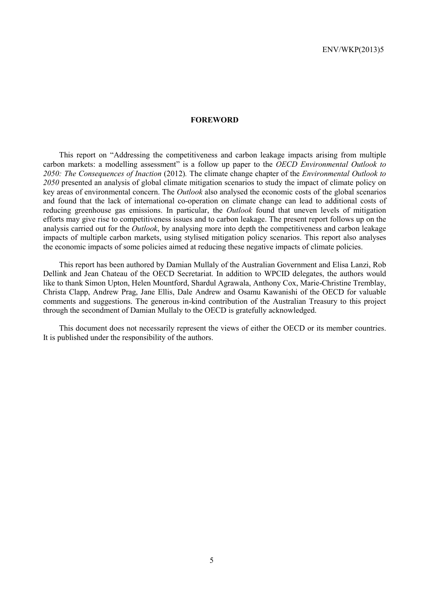#### **FOREWORD**

This report on "Addressing the competitiveness and carbon leakage impacts arising from multiple carbon markets: a modelling assessment" is a follow up paper to the *OECD Environmental Outlook to 2050: The Consequences of Inaction* (2012)*.* The climate change chapter of the *Environmental Outlook to 2050* presented an analysis of global climate mitigation scenarios to study the impact of climate policy on key areas of environmental concern. The *Outlook* also analysed the economic costs of the global scenarios and found that the lack of international co-operation on climate change can lead to additional costs of reducing greenhouse gas emissions. In particular, the *Outlook* found that uneven levels of mitigation efforts may give rise to competitiveness issues and to carbon leakage. The present report follows up on the analysis carried out for the *Outlook*, by analysing more into depth the competitiveness and carbon leakage impacts of multiple carbon markets, using stylised mitigation policy scenarios. This report also analyses the economic impacts of some policies aimed at reducing these negative impacts of climate policies.

This report has been authored by Damian Mullaly of the Australian Government and Elisa Lanzi, Rob Dellink and Jean Chateau of the OECD Secretariat. In addition to WPCID delegates, the authors would like to thank Simon Upton, Helen Mountford, Shardul Agrawala, Anthony Cox, Marie-Christine Tremblay, Christa Clapp, Andrew Prag, Jane Ellis, Dale Andrew and Osamu Kawanishi of the OECD for valuable comments and suggestions. The generous in-kind contribution of the Australian Treasury to this project through the secondment of Damian Mullaly to the OECD is gratefully acknowledged.

This document does not necessarily represent the views of either the OECD or its member countries. It is published under the responsibility of the authors.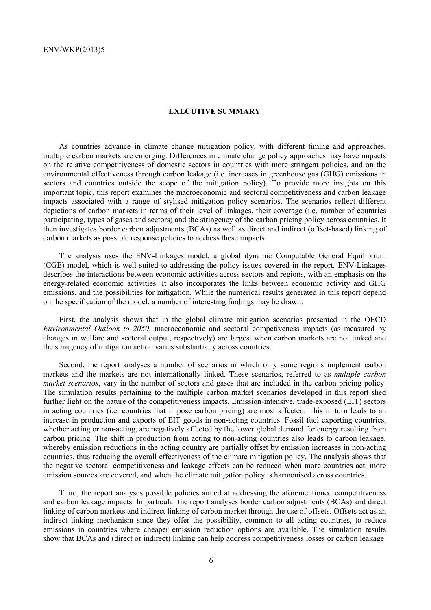## **EXECUTIVE SUMMARY**

As countries advance in climate change mitigation policy, with different timing and approaches, multiple carbon markets are emerging. Differences in climate change policy approaches may have impacts on the relative competitiveness of domestic sectors in countries with more stringent policies, and on the environmental effectiveness through carbon leakage (i.e. increases in greenhouse gas (GHG) emissions in sectors and countries outside the scope of the mitigation policy). To provide more insights on this important topic, this report examines the macroeconomic and sectoral competitiveness and carbon leakage impacts associated with a range of stylised mitigation policy scenarios. The scenarios reflect different depictions of carbon markets in terms of their level of linkages, their coverage (i.e. number of countries participating, types of gases and sectors) and the stringency of the carbon pricing policy across countries. It then investigates border carbon adjustments (BCAs) as well as direct and indirect (offset-based) linking of carbon markets as possible response policies to address these impacts.

The analysis uses the ENV-Linkages model, a global dynamic Computable General Equilibrium (CGE) model, which is well suited to addressing the policy issues covered in the report. ENV-Linkages describes the interactions between economic activities across sectors and regions, with an emphasis on the energy-related economic activities. It also incorporates the links between economic activity and GHG emissions, and the possibilities for mitigation. While the numerical results generated in this report depend on the specification of the model, a number of interesting findings may be drawn.

First, the analysis shows that in the global climate mitigation scenarios presented in the OECD *Environmental Outlook to 2050*, macroeconomic and sectoral competiveness impacts (as measured by changes in welfare and sectoral output, respectively) are largest when carbon markets are not linked and the stringency of mitigation action varies substantially across countries.

Second, the report analyses a number of scenarios in which only some regions implement carbon markets and the markets are not internationally linked. These scenarios, referred to as *multiple carbon market scenarios*, vary in the number of sectors and gases that are included in the carbon pricing policy. The simulation results pertaining to the multiple carbon market scenarios developed in this report shed further light on the nature of the competitiveness impacts. Emission-intensive, trade-exposed (EIT) sectors in acting countries (i.e. countries that impose carbon pricing) are most affected. This in turn leads to an increase in production and exports of EIT goods in non-acting countries. Fossil fuel exporting countries, whether acting or non-acting, are negatively affected by the lower global demand for energy resulting from carbon pricing. The shift in production from acting to non-acting countries also leads to carbon leakage, whereby emission reductions in the acting country are partially offset by emission increases in non-acting countries, thus reducing the overall effectiveness of the climate mitigation policy. The analysis shows that the negative sectoral competitiveness and leakage effects can be reduced when more countries act, more emission sources are covered, and when the climate mitigation policy is harmonised across countries.

Third, the report analyses possible policies aimed at addressing the aforementioned competitiveness and carbon leakage impacts. In particular the report analyses border carbon adjustments (BCAs) and direct linking of carbon markets and indirect linking of carbon market through the use of offsets. Offsets act as an indirect linking mechanism since they offer the possibility, common to all acting countries, to reduce emissions in countries where cheaper emission reduction options are available. The simulation results show that BCAs and (direct or indirect) linking can help address competitiveness losses or carbon leakage.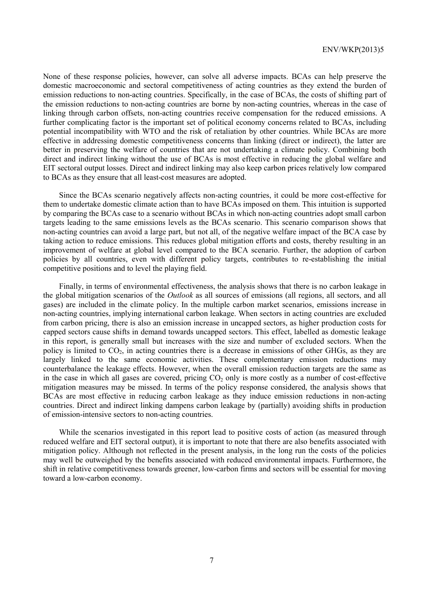None of these response policies, however, can solve all adverse impacts. BCAs can help preserve the domestic macroeconomic and sectoral competitiveness of acting countries as they extend the burden of emission reductions to non-acting countries. Specifically, in the case of BCAs, the costs of shifting part of the emission reductions to non-acting countries are borne by non-acting countries, whereas in the case of linking through carbon offsets, non-acting countries receive compensation for the reduced emissions. A further complicating factor is the important set of political economy concerns related to BCAs, including potential incompatibility with WTO and the risk of retaliation by other countries. While BCAs are more effective in addressing domestic competitiveness concerns than linking (direct or indirect), the latter are better in preserving the welfare of countries that are not undertaking a climate policy. Combining both direct and indirect linking without the use of BCAs is most effective in reducing the global welfare and EIT sectoral output losses. Direct and indirect linking may also keep carbon prices relatively low compared to BCAs as they ensure that all least-cost measures are adopted.

Since the BCAs scenario negatively affects non-acting countries, it could be more cost-effective for them to undertake domestic climate action than to have BCAs imposed on them. This intuition is supported by comparing the BCAs case to a scenario without BCAs in which non-acting countries adopt small carbon targets leading to the same emissions levels as the BCAs scenario. This scenario comparison shows that non-acting countries can avoid a large part, but not all, of the negative welfare impact of the BCA case by taking action to reduce emissions. This reduces global mitigation efforts and costs, thereby resulting in an improvement of welfare at global level compared to the BCA scenario. Further, the adoption of carbon policies by all countries, even with different policy targets, contributes to re-establishing the initial competitive positions and to level the playing field.

Finally, in terms of environmental effectiveness, the analysis shows that there is no carbon leakage in the global mitigation scenarios of the *Outlook* as all sources of emissions (all regions, all sectors, and all gases) are included in the climate policy. In the multiple carbon market scenarios, emissions increase in non-acting countries, implying international carbon leakage. When sectors in acting countries are excluded from carbon pricing, there is also an emission increase in uncapped sectors, as higher production costs for capped sectors cause shifts in demand towards uncapped sectors. This effect, labelled as domestic leakage in this report, is generally small but increases with the size and number of excluded sectors. When the policy is limited to  $CO<sub>2</sub>$ , in acting countries there is a decrease in emissions of other GHGs, as they are largely linked to the same economic activities. These complementary emission reductions may counterbalance the leakage effects. However, when the overall emission reduction targets are the same as in the case in which all gases are covered, pricing  $CO<sub>2</sub>$  only is more costly as a number of cost-effective mitigation measures may be missed. In terms of the policy response considered, the analysis shows that BCAs are most effective in reducing carbon leakage as they induce emission reductions in non-acting countries. Direct and indirect linking dampens carbon leakage by (partially) avoiding shifts in production of emission-intensive sectors to non-acting countries.

While the scenarios investigated in this report lead to positive costs of action (as measured through reduced welfare and EIT sectoral output), it is important to note that there are also benefits associated with mitigation policy. Although not reflected in the present analysis, in the long run the costs of the policies may well be outweighed by the benefits associated with reduced environmental impacts. Furthermore, the shift in relative competitiveness towards greener, low-carbon firms and sectors will be essential for moving toward a low-carbon economy.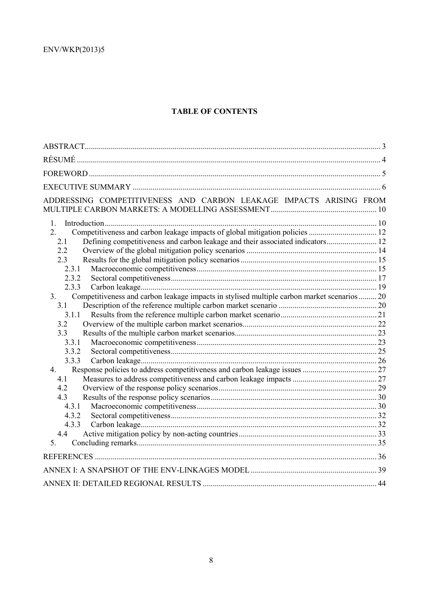# **TABLE OF CONTENTS**

| ADDRESSING COMPETITIVENESS AND CARBON LEAKAGE IMPACTS ARISING FROM                                                                                                                                                                                                                                                                               |  |
|--------------------------------------------------------------------------------------------------------------------------------------------------------------------------------------------------------------------------------------------------------------------------------------------------------------------------------------------------|--|
| 1.<br>$\overline{2}$ .<br>Defining competitiveness and carbon leakage and their associated indicators 12<br>2.1<br>2.2<br>2.3<br>2.3.1<br>2.3.2<br>2.3.3<br>Competitiveness and carbon leakage impacts in stylised multiple carbon market scenarios 20<br>3.<br>3.1<br>3.1.1<br>3.2<br>3.3<br>3.3.1<br>3.3.2<br>3.3.3<br>4.<br>4.1<br>4.2<br>4.3 |  |
| 4.3.1<br>4.3.2<br>4.3.3                                                                                                                                                                                                                                                                                                                          |  |
| 4.4<br>5.                                                                                                                                                                                                                                                                                                                                        |  |
|                                                                                                                                                                                                                                                                                                                                                  |  |
|                                                                                                                                                                                                                                                                                                                                                  |  |
|                                                                                                                                                                                                                                                                                                                                                  |  |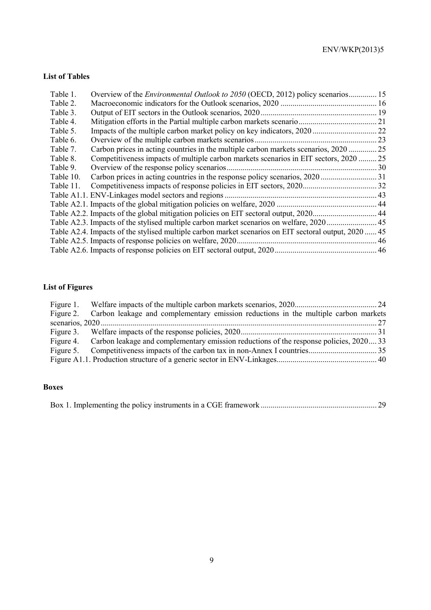# **List of Tables**

| Table 1.  | Overview of the <i>Environmental Outlook to 2050</i> (OECD, 2012) policy scenarios 15                 |     |
|-----------|-------------------------------------------------------------------------------------------------------|-----|
| Table 2.  |                                                                                                       |     |
| Table 3.  |                                                                                                       |     |
| Table 4.  |                                                                                                       |     |
| Table 5.  |                                                                                                       |     |
| Table 6.  |                                                                                                       | .23 |
| Table 7.  | Carbon prices in acting countries in the multiple carbon markets scenarios, 2020  25                  |     |
| Table 8.  | Competitiveness impacts of multiple carbon markets scenarios in EIT sectors, 2020                     | .25 |
| Table 9.  |                                                                                                       | 30  |
| Table 10. |                                                                                                       |     |
| Table 11. |                                                                                                       |     |
|           |                                                                                                       |     |
|           |                                                                                                       |     |
|           |                                                                                                       |     |
|           | Table A2.3. Impacts of the stylised multiple carbon market scenarios on welfare, 2020 45              |     |
|           | Table A2.4. Impacts of the stylised multiple carbon market scenarios on EIT sectoral output, 2020  45 |     |
|           |                                                                                                       |     |
|           |                                                                                                       |     |
|           |                                                                                                       |     |

# **List of Figures**

| Figure 2. Carbon leakage and complementary emission reductions in the multiple carbon markets    |  |
|--------------------------------------------------------------------------------------------------|--|
|                                                                                                  |  |
|                                                                                                  |  |
| Figure 4. Carbon leakage and complementary emission reductions of the response policies, 2020 33 |  |
|                                                                                                  |  |
|                                                                                                  |  |

## **Boxes**

|--|--|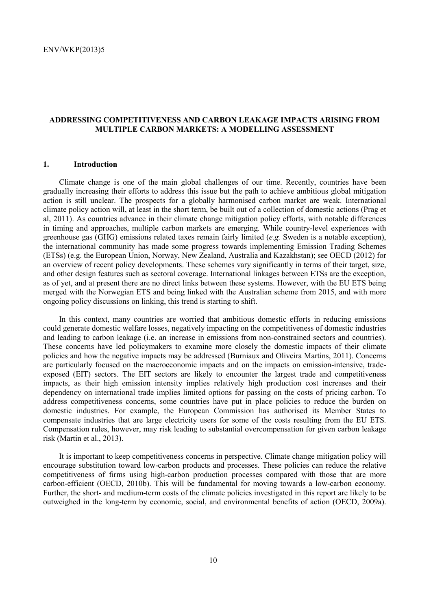## **ADDRESSING COMPETITIVENESS AND CARBON LEAKAGE IMPACTS ARISING FROM MULTIPLE CARBON MARKETS: A MODELLING ASSESSMENT**

### **1. Introduction**

Climate change is one of the main global challenges of our time. Recently, countries have been gradually increasing their efforts to address this issue but the path to achieve ambitious global mitigation action is still unclear. The prospects for a globally harmonised carbon market are weak. International climate policy action will, at least in the short term, be built out of a collection of domestic actions (Prag et al, 2011). As countries advance in their climate change mitigation policy efforts, with notable differences in timing and approaches, multiple carbon markets are emerging. While country-level experiences with greenhouse gas (GHG) emissions related taxes remain fairly limited (*e.g.* Sweden is a notable exception), the international community has made some progress towards implementing Emission Trading Schemes (ETSs) (e.g. the European Union, Norway, New Zealand, Australia and Kazakhstan); see OECD (2012) for an overview of recent policy developments. These schemes vary significantly in terms of their target, size, and other design features such as sectoral coverage. International linkages between ETSs are the exception, as of yet, and at present there are no direct links between these systems. However, with the EU ETS being merged with the Norwegian ETS and being linked with the Australian scheme from 2015, and with more ongoing policy discussions on linking, this trend is starting to shift.

In this context, many countries are worried that ambitious domestic efforts in reducing emissions could generate domestic welfare losses, negatively impacting on the competitiveness of domestic industries and leading to carbon leakage (i.e. an increase in emissions from non-constrained sectors and countries). These concerns have led policymakers to examine more closely the domestic impacts of their climate policies and how the negative impacts may be addressed (Burniaux and Oliveira Martins, 2011). Concerns are particularly focused on the macroeconomic impacts and on the impacts on emission-intensive, tradeexposed (EIT) sectors. The EIT sectors are likely to encounter the largest trade and competitiveness impacts, as their high emission intensity implies relatively high production cost increases and their dependency on international trade implies limited options for passing on the costs of pricing carbon. To address competitiveness concerns, some countries have put in place policies to reduce the burden on domestic industries. For example, the European Commission has authorised its Member States to compensate industries that are large electricity users for some of the costs resulting from the EU ETS. Compensation rules, however, may risk leading to substantial overcompensation for given carbon leakage risk (Martin et al., 2013).

It is important to keep competitiveness concerns in perspective. Climate change mitigation policy will encourage substitution toward low-carbon products and processes. These policies can reduce the relative competitiveness of firms using high-carbon production processes compared with those that are more carbon-efficient (OECD, 2010b). This will be fundamental for moving towards a low-carbon economy. Further, the short- and medium-term costs of the climate policies investigated in this report are likely to be outweighed in the long-term by economic, social, and environmental benefits of action (OECD, 2009a).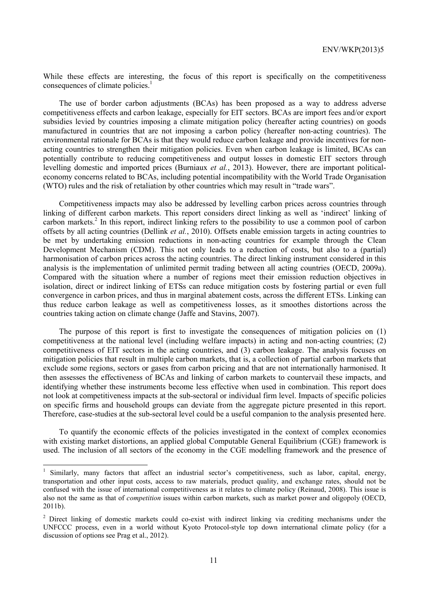While these effects are interesting, the focus of this report is specifically on the competitiveness consequences of climate policies. $<sup>1</sup>$ </sup>

The use of border carbon adjustments (BCAs) has been proposed as a way to address adverse competitiveness effects and carbon leakage, especially for EIT sectors. BCAs are import fees and/or export subsidies levied by countries imposing a climate mitigation policy (hereafter acting countries) on goods manufactured in countries that are not imposing a carbon policy (hereafter non-acting countries). The environmental rationale for BCAs is that they would reduce carbon leakage and provide incentives for nonacting countries to strengthen their mitigation policies. Even when carbon leakage is limited, BCAs can potentially contribute to reducing competitiveness and output losses in domestic EIT sectors through levelling domestic and imported prices (Burniaux *et al.*, 2013). However, there are important politicaleconomy concerns related to BCAs, including potential incompatibility with the World Trade Organisation (WTO) rules and the risk of retaliation by other countries which may result in "trade wars".

Competitiveness impacts may also be addressed by levelling carbon prices across countries through linking of different carbon markets. This report considers direct linking as well as 'indirect' linking of carbon markets.<sup>2</sup> In this report, indirect linking refers to the possibility to use a common pool of carbon offsets by all acting countries (Dellink *et al.*, 2010). Offsets enable emission targets in acting countries to be met by undertaking emission reductions in non-acting countries for example through the Clean Development Mechanism (CDM). This not only leads to a reduction of costs, but also to a (partial) harmonisation of carbon prices across the acting countries. The direct linking instrument considered in this analysis is the implementation of unlimited permit trading between all acting countries (OECD, 2009a). Compared with the situation where a number of regions meet their emission reduction objectives in isolation, direct or indirect linking of ETSs can reduce mitigation costs by fostering partial or even full convergence in carbon prices, and thus in marginal abatement costs, across the different ETSs. Linking can thus reduce carbon leakage as well as competitiveness losses, as it smoothes distortions across the countries taking action on climate change (Jaffe and Stavins, 2007).

The purpose of this report is first to investigate the consequences of mitigation policies on (1) competitiveness at the national level (including welfare impacts) in acting and non-acting countries; (2) competitiveness of EIT sectors in the acting countries, and (3) carbon leakage. The analysis focuses on mitigation policies that result in multiple carbon markets, that is, a collection of partial carbon markets that exclude some regions, sectors or gases from carbon pricing and that are not internationally harmonised. It then assesses the effectiveness of BCAs and linking of carbon markets to countervail these impacts, and identifying whether these instruments become less effective when used in combination. This report does not look at competitiveness impacts at the sub-sectoral or individual firm level. Impacts of specific policies on specific firms and household groups can deviate from the aggregate picture presented in this report. Therefore, case-studies at the sub-sectoral level could be a useful companion to the analysis presented here.

To quantify the economic effects of the policies investigated in the context of complex economies with existing market distortions, an applied global Computable General Equilibrium (CGE) framework is used. The inclusion of all sectors of the economy in the CGE modelling framework and the presence of

<sup>1</sup> Similarly, many factors that affect an industrial sector's competitiveness, such as labor, capital, energy, transportation and other input costs, access to raw materials, product quality, and exchange rates, should not be confused with the issue of international competitiveness as it relates to climate policy (Reinaud, 2008). This issue is also not the same as that of *competition* issues within carbon markets, such as market power and oligopoly (OECD, 2011b).

<sup>&</sup>lt;sup>2</sup> Direct linking of domestic markets could co-exist with indirect linking via crediting mechanisms under the UNFCCC process, even in a world without Kyoto Protocol-style top down international climate policy (for a discussion of options see Prag et al., 2012).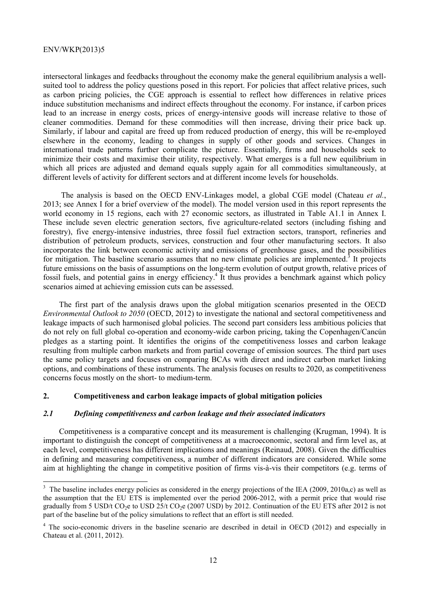$\overline{a}$ 

intersectoral linkages and feedbacks throughout the economy make the general equilibrium analysis a wellsuited tool to address the policy questions posed in this report. For policies that affect relative prices, such as carbon pricing policies, the CGE approach is essential to reflect how differences in relative prices induce substitution mechanisms and indirect effects throughout the economy. For instance, if carbon prices lead to an increase in energy costs, prices of energy-intensive goods will increase relative to those of cleaner commodities. Demand for these commodities will then increase, driving their price back up. Similarly, if labour and capital are freed up from reduced production of energy, this will be re-employed elsewhere in the economy, leading to changes in supply of other goods and services. Changes in international trade patterns further complicate the picture. Essentially, firms and households seek to minimize their costs and maximise their utility, respectively. What emerges is a full new equilibrium in which all prices are adjusted and demand equals supply again for all commodities simultaneously, at different levels of activity for different sectors and at different income levels for households.

 The analysis is based on the OECD ENV-Linkages model, a global CGE model (Chateau *et al.*, 2013; see Annex I for a brief overview of the model). The model version used in this report represents the world economy in 15 regions, each with 27 economic sectors, as illustrated in Table A1.1 in Annex I. These include seven electric generation sectors, five agriculture-related sectors (including fishing and forestry), five energy-intensive industries, three fossil fuel extraction sectors, transport, refineries and distribution of petroleum products, services, construction and four other manufacturing sectors. It also incorporates the link between economic activity and emissions of greenhouse gases, and the possibilities for mitigation. The baseline scenario assumes that no new climate policies are implemented. $3$  It projects future emissions on the basis of assumptions on the long-term evolution of output growth, relative prices of fossil fuels, and potential gains in energy efficiency.<sup>4</sup> It thus provides a benchmark against which policy scenarios aimed at achieving emission cuts can be assessed.

The first part of the analysis draws upon the global mitigation scenarios presented in the OECD *Environmental Outlook to 2050* (OECD, 2012) to investigate the national and sectoral competitiveness and leakage impacts of such harmonised global policies. The second part considers less ambitious policies that do not rely on full global co-operation and economy-wide carbon pricing, taking the Copenhagen/Cancún pledges as a starting point. It identifies the origins of the competitiveness losses and carbon leakage resulting from multiple carbon markets and from partial coverage of emission sources. The third part uses the same policy targets and focuses on comparing BCAs with direct and indirect carbon market linking options, and combinations of these instruments. The analysis focuses on results to 2020, as competitiveness concerns focus mostly on the short- to medium-term.

## **2. Competitiveness and carbon leakage impacts of global mitigation policies**

## *2.1 Defining competitiveness and carbon leakage and their associated indicators*

Competitiveness is a comparative concept and its measurement is challenging (Krugman, 1994). It is important to distinguish the concept of competitiveness at a macroeconomic, sectoral and firm level as, at each level, competitiveness has different implications and meanings (Reinaud, 2008). Given the difficulties in defining and measuring competitiveness, a number of different indicators are considered. While some aim at highlighting the change in competitive position of firms vis-à-vis their competitors (e.g. terms of

<sup>&</sup>lt;sup>3</sup> The baseline includes energy policies as considered in the energy projections of the IEA (2009, 2010a,c) as well as the assumption that the EU ETS is implemented over the period 2006-2012, with a permit price that would rise gradually from 5 USD/t CO<sub>2</sub>e to USD 25/t CO<sub>2</sub>e (2007 USD) by 2012. Continuation of the EU ETS after 2012 is not part of the baseline but of the policy simulations to reflect that an effort is still needed.

<sup>&</sup>lt;sup>4</sup> The socio-economic drivers in the baseline scenario are described in detail in OECD (2012) and especially in Chateau et al. (2011, 2012).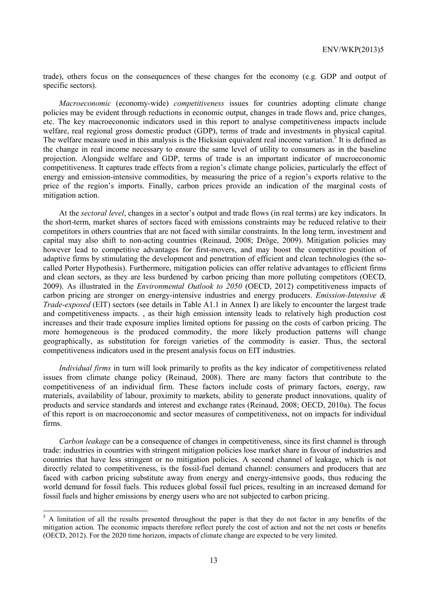trade), others focus on the consequences of these changes for the economy (e.g. GDP and output of specific sectors).

*Macroeconomic* (economy-wide) *competitiveness* issues for countries adopting climate change policies may be evident through reductions in economic output, changes in trade flows and, price changes, etc. The key macroeconomic indicators used in this report to analyse competitiveness impacts include welfare, real regional gross domestic product (GDP), terms of trade and investments in physical capital. The welfare measure used in this analysis is the Hicksian equivalent real income variation.<sup>5</sup> It is defined as the change in real income necessary to ensure the same level of utility to consumers as in the baseline projection. Alongside welfare and GDP, terms of trade is an important indicator of macroeconomic competitiveness. It captures trade effects from a region's climate change policies, particularly the effect of energy and emission-intensive commodities, by measuring the price of a region's exports relative to the price of the region's imports. Finally, carbon prices provide an indication of the marginal costs of mitigation action.

At the *sectoral level*, changes in a sector's output and trade flows (in real terms) are key indicators. In the short-term, market shares of sectors faced with emissions constraints may be reduced relative to their competitors in others countries that are not faced with similar constraints. In the long term, investment and capital may also shift to non-acting countries (Reinaud, 2008; Dröge, 2009). Mitigation policies may however lead to competitive advantages for first-movers, and may boost the competitive position of adaptive firms by stimulating the development and penetration of efficient and clean technologies (the socalled Porter Hypothesis). Furthermore, mitigation policies can offer relative advantages to efficient firms and clean sectors, as they are less burdened by carbon pricing than more polluting competitors (OECD, 2009). As illustrated in the *Environmental Outlook to 2050* (OECD, 2012) competitiveness impacts of carbon pricing are stronger on energy-intensive industries and energy producers. *Emission-Intensive & Trade-exposed* (EIT) sectors (see details in Table A1.1 in Annex I) are likely to encounter the largest trade and competitiveness impacts. , as their high emission intensity leads to relatively high production cost increases and their trade exposure implies limited options for passing on the costs of carbon pricing. The more homogeneous is the produced commodity, the more likely production patterns will change geographically, as substitution for foreign varieties of the commodity is easier. Thus, the sectoral competitiveness indicators used in the present analysis focus on EIT industries.

*Individual firms* in turn will look primarily to profits as the key indicator of competitiveness related issues from climate change policy (Reinaud, 2008). There are many factors that contribute to the competitiveness of an individual firm. These factors include costs of primary factors, energy, raw materials, availability of labour, proximity to markets, ability to generate product innovations, quality of products and service standards and interest and exchange rates (Reinaud, 2008; OECD, 2010a). The focus of this report is on macroeconomic and sector measures of competitiveness, not on impacts for individual firms.

*Carbon leakage* can be a consequence of changes in competitiveness, since its first channel is through trade: industries in countries with stringent mitigation policies lose market share in favour of industries and countries that have less stringent or no mitigation policies. A second channel of leakage, which is not directly related to competitiveness, is the fossil-fuel demand channel: consumers and producers that are faced with carbon pricing substitute away from energy and energy-intensive goods, thus reducing the world demand for fossil fuels. This reduces global fossil fuel prices, resulting in an increased demand for fossil fuels and higher emissions by energy users who are not subjected to carbon pricing.

 $\overline{a}$ 

<sup>&</sup>lt;sup>5</sup> A limitation of all the results presented throughout the paper is that they do not factor in any benefits of the mitigation action. The economic impacts therefore reflect purely the cost of action and not the net costs or benefits (OECD, 2012). For the 2020 time horizon, impacts of climate change are expected to be very limited.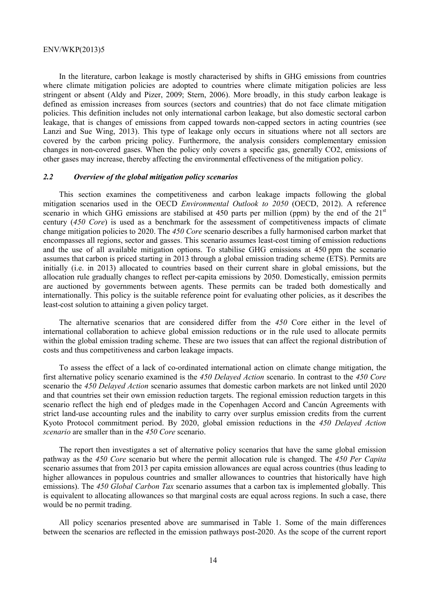In the literature, carbon leakage is mostly characterised by shifts in GHG emissions from countries where climate mitigation policies are adopted to countries where climate mitigation policies are less stringent or absent (Aldy and Pizer, 2009; Stern, 2006). More broadly, in this study carbon leakage is defined as emission increases from sources (sectors and countries) that do not face climate mitigation policies. This definition includes not only international carbon leakage, but also domestic sectoral carbon leakage, that is changes of emissions from capped towards non-capped sectors in acting countries (see Lanzi and Sue Wing, 2013). This type of leakage only occurs in situations where not all sectors are covered by the carbon pricing policy. Furthermore, the analysis considers complementary emission changes in non-covered gases. When the policy only covers a specific gas, generally CO2, emissions of other gases may increase, thereby affecting the environmental effectiveness of the mitigation policy.

#### *2.2 Overview of the global mitigation policy scenarios*

This section examines the competitiveness and carbon leakage impacts following the global mitigation scenarios used in the OECD *Environmental Outlook to 2050* (OECD, 2012). A reference scenario in which GHG emissions are stabilised at 450 parts per million (ppm) by the end of the  $21<sup>st</sup>$ century (*450 Core*) is used as a benchmark for the assessment of competitiveness impacts of climate change mitigation policies to 2020. The *450 Core* scenario describes a fully harmonised carbon market that encompasses all regions, sector and gasses. This scenario assumes least-cost timing of emission reductions and the use of all available mitigation options. To stabilise GHG emissions at 450 ppm the scenario assumes that carbon is priced starting in 2013 through a global emission trading scheme (ETS). Permits are initially (i.e. in 2013) allocated to countries based on their current share in global emissions, but the allocation rule gradually changes to reflect per-capita emissions by 2050. Domestically, emission permits are auctioned by governments between agents. These permits can be traded both domestically and internationally. This policy is the suitable reference point for evaluating other policies, as it describes the least-cost solution to attaining a given policy target.

The alternative scenarios that are considered differ from the *450* Core either in the level of international collaboration to achieve global emission reductions or in the rule used to allocate permits within the global emission trading scheme. These are two issues that can affect the regional distribution of costs and thus competitiveness and carbon leakage impacts.

To assess the effect of a lack of co-ordinated international action on climate change mitigation, the first alternative policy scenario examined is the *450 Delayed Action* scenario. In contrast to the *450 Core* scenario the *450 Delayed Action* scenario assumes that domestic carbon markets are not linked until 2020 and that countries set their own emission reduction targets. The regional emission reduction targets in this scenario reflect the high end of pledges made in the Copenhagen Accord and Cancún Agreements with strict land-use accounting rules and the inability to carry over surplus emission credits from the current Kyoto Protocol commitment period. By 2020, global emission reductions in the *450 Delayed Action scenario* are smaller than in the *450 Core* scenario.

The report then investigates a set of alternative policy scenarios that have the same global emission pathway as the *450 Core* scenario but where the permit allocation rule is changed. The *450 Per Capita* scenario assumes that from 2013 per capita emission allowances are equal across countries (thus leading to higher allowances in populous countries and smaller allowances to countries that historically have high emissions). The *450 Global Carbon Tax* scenario assumes that a carbon tax is implemented globally. This is equivalent to allocating allowances so that marginal costs are equal across regions. In such a case, there would be no permit trading.

All policy scenarios presented above are summarised in Table 1. Some of the main differences between the scenarios are reflected in the emission pathways post-2020. As the scope of the current report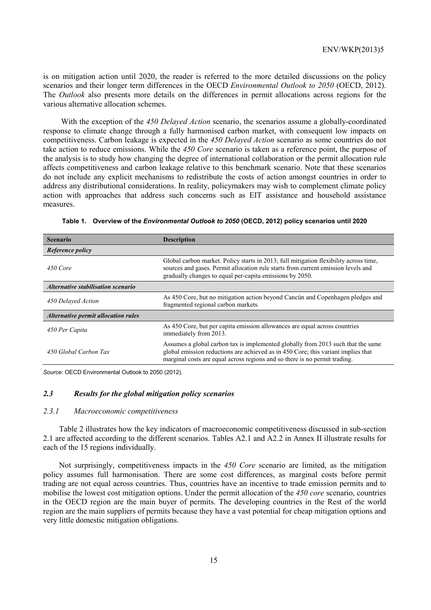is on mitigation action until 2020, the reader is referred to the more detailed discussions on the policy scenarios and their longer term differences in the OECD *Environmental Outlook to 2050* (OECD, 2012). The *Outlook* also presents more details on the differences in permit allocations across regions for the various alternative allocation schemes.

 With the exception of the *450 Delayed Action* scenario, the scenarios assume a globally-coordinated response to climate change through a fully harmonised carbon market, with consequent low impacts on competitiveness. Carbon leakage is expected in the *450 Delayed Action* scenario as some countries do not take action to reduce emissions. While the *450 Core* scenario is taken as a reference point, the purpose of the analysis is to study how changing the degree of international collaboration or the permit allocation rule affects competitiveness and carbon leakage relative to this benchmark scenario. Note that these scenarios do not include any explicit mechanisms to redistribute the costs of action amongst countries in order to address any distributional considerations. In reality, policymakers may wish to complement climate policy action with approaches that address such concerns such as EIT assistance and household assistance measures.

| <b>Scenario</b>                            | <b>Description</b>                                                                                                                                                                                                                                  |
|--------------------------------------------|-----------------------------------------------------------------------------------------------------------------------------------------------------------------------------------------------------------------------------------------------------|
| Reference policy                           |                                                                                                                                                                                                                                                     |
| 450 Core                                   | Global carbon market. Policy starts in 2013; full mitigation flexibility across time,<br>sources and gases. Permit allocation rule starts from current emission levels and<br>gradually changes to equal per-capita emissions by 2050.              |
| Alternative stabilisation scenario         |                                                                                                                                                                                                                                                     |
| 450 Delayed Action                         | As 450 Core, but no mitigation action beyond Cancún and Copenhagen pledges and<br>fragmented regional carbon markets.                                                                                                                               |
| <b>Alternative permit allocation rules</b> |                                                                                                                                                                                                                                                     |
| 450 Per Capita                             | As 450 Core, but per capita emission allowances are equal across countries<br>immediately from 2013.                                                                                                                                                |
| 450 Global Carbon Tax                      | Assumes a global carbon tax is implemented globally from 2013 such that the same<br>global emission reductions are achieved as in 450 Core; this variant implies that<br>marginal costs are equal across regions and so there is no permit trading. |

**Table 1. Overview of the** *Environmental Outlook to 2050* **(OECD, 2012) policy scenarios until 2020** 

*Source*: OECD Environmental Outlook to 2050 (2012).

## *2.3 Results for the global mitigation policy scenarios*

## *2.3.1 Macroeconomic competitiveness*

Table 2 illustrates how the key indicators of macroeconomic competitiveness discussed in sub-section 2.1 are affected according to the different scenarios. Tables A2.1 and A2.2 in Annex II illustrate results for each of the 15 regions individually.

Not surprisingly, competitiveness impacts in the *450 Core* scenario are limited, as the mitigation policy assumes full harmonisation. There are some cost differences, as marginal costs before permit trading are not equal across countries. Thus, countries have an incentive to trade emission permits and to mobilise the lowest cost mitigation options. Under the permit allocation of the *450 core* scenario, countries in the OECD region are the main buyer of permits. The developing countries in the Rest of the world region are the main suppliers of permits because they have a vast potential for cheap mitigation options and very little domestic mitigation obligations.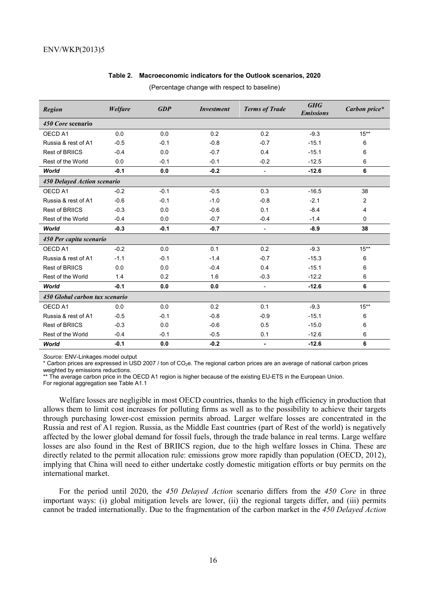## **Table 2. Macroeconomic indicators for the Outlook scenarios, 2020**

| <b>Region</b>                      | Welfare | GDP    | <b>Investment</b> | <b>Terms of Trade</b>    | GHG<br><b>Emissions</b> | Carbon price*  |  |
|------------------------------------|---------|--------|-------------------|--------------------------|-------------------------|----------------|--|
| 450 Core scenario                  |         |        |                   |                          |                         |                |  |
| OECD A1                            | 0.0     | 0.0    | 0.2               | 0.2                      |                         | $15**$         |  |
| Russia & rest of A1                | $-0.5$  | $-0.1$ | $-0.8$            | $-0.7$                   | $-15.1$                 | 6              |  |
| <b>Rest of BRIICS</b>              | $-0.4$  | 0.0    | $-0.7$            | 0.4                      | $-15.1$                 | 6              |  |
| Rest of the World                  | 0.0     | $-0.1$ | $-0.1$            | $-0.2$                   | $-12.5$                 | 6              |  |
| World                              | $-0.1$  | 0.0    | $-0.2$            | $\overline{\phantom{a}}$ | $-12.6$                 | 6              |  |
| <b>450 Delayed Action scenario</b> |         |        |                   |                          |                         |                |  |
| OECD A1                            | $-0.2$  | $-0.1$ | $-0.5$            | 0.3                      | $-16.5$                 | 38             |  |
| Russia & rest of A1                | $-0.6$  | $-0.1$ | $-1.0$            | $-0.8$                   | $-2.1$                  | $\overline{2}$ |  |
| <b>Rest of BRIICS</b>              | $-0.3$  | 0.0    | $-0.6$            | 0.1                      | $-8.4$                  | 4              |  |
| Rest of the World                  | $-0.4$  | 0.0    | $-0.7$            | $-0.4$                   | $-1.4$                  | 0              |  |
| World                              | $-0.3$  | $-0.1$ | $-0.7$            | $\overline{\phantom{a}}$ | $-8.9$                  | 38             |  |
| 450 Per capita scenario            |         |        |                   |                          |                         |                |  |
| OECD A1                            | $-0.2$  | 0.0    | 0.1               | 0.2                      | $-9.3$                  | $15***$        |  |
| Russia & rest of A1                | $-1.1$  | $-0.1$ | $-1.4$            | $-0.7$                   | $-15.3$                 | 6              |  |
| <b>Rest of BRIICS</b>              | 0.0     | 0.0    | $-0.4$            | 0.4                      | $-15.1$                 | 6              |  |
| Rest of the World                  | 1.4     | 0.2    | 1.6               | $-0.3$                   | $-12.2$                 | 6              |  |
| World                              | $-0.1$  | 0.0    | 0.0               | $\overline{\phantom{a}}$ | $-12.6$                 | 6              |  |
| 450 Global carbon tax scenario     |         |        |                   |                          |                         |                |  |
| OECD A1                            | 0.0     | 0.0    | 0.2               | 0.1                      | $-9.3$                  | $15***$        |  |
| Russia & rest of A1                | $-0.5$  | $-0.1$ | $-0.8$            | $-0.9$                   | $-15.1$                 | 6              |  |
| <b>Rest of BRIICS</b>              | $-0.3$  | 0.0    | $-0.6$            | 0.5                      | $-15.0$                 | 6              |  |
| Rest of the World                  | $-0.4$  | $-0.1$ | $-0.5$            | 0.1                      | $-12.6$                 | 6              |  |
| World                              | $-0.1$  | 0.0    | $-0.2$            | ٠                        | $-12.6$                 | 6              |  |

(Percentage change with respect to baseline)

*Source:* ENV-Linkages model output

\* Carbon prices are expressed in USD 2007 / ton of CO2e. The regional carbon prices are an average of national carbon prices weighted by emissions reductions.

\*\*\* The average carbon price in the OECD A1 region is higher because of the existing EU-ETS in the European Union.

For regional aggregation see Table A1.1

Welfare losses are negligible in most OECD countries, thanks to the high efficiency in production that allows them to limit cost increases for polluting firms as well as to the possibility to achieve their targets through purchasing lower-cost emission permits abroad. Larger welfare losses are concentrated in the Russia and rest of A1 region. Russia, as the Middle East countries (part of Rest of the world) is negatively affected by the lower global demand for fossil fuels, through the trade balance in real terms. Large welfare losses are also found in the Rest of BRIICS region, due to the high welfare losses in China. These are directly related to the permit allocation rule: emissions grow more rapidly than population (OECD, 2012), implying that China will need to either undertake costly domestic mitigation efforts or buy permits on the international market.

For the period until 2020, the *450 Delayed Action* scenario differs from the *450 Core* in three important ways: (i) global mitigation levels are lower, (ii) the regional targets differ, and (iii) permits cannot be traded internationally. Due to the fragmentation of the carbon market in the *450 Delayed Action*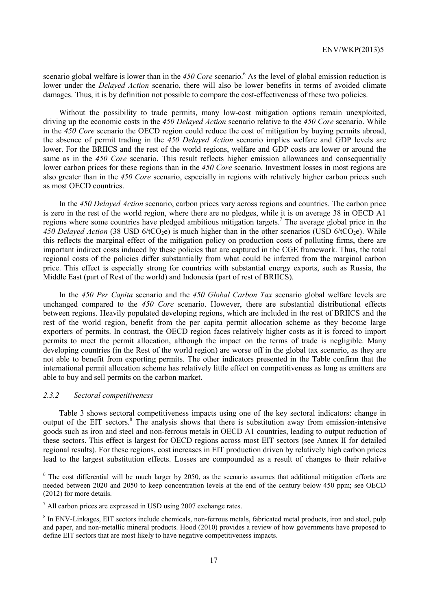scenario global welfare is lower than in the 450 Core scenario.<sup>6</sup> As the level of global emission reduction is lower under the *Delayed Action* scenario, there will also be lower benefits in terms of avoided climate damages. Thus, it is by definition not possible to compare the cost-effectiveness of these two policies.

Without the possibility to trade permits, many low-cost mitigation options remain unexploited, driving up the economic costs in the *450 Delayed Action* scenario relative to the *450 Core* scenario. While in the *450 Core* scenario the OECD region could reduce the cost of mitigation by buying permits abroad, the absence of permit trading in the *450 Delayed Action* scenario implies welfare and GDP levels are lower. For the BRIICS and the rest of the world regions, welfare and GDP costs are lower or around the same as in the *450 Core* scenario. This result reflects higher emission allowances and consequentially lower carbon prices for these regions than in the *450 Core* scenario. Investment losses in most regions are also greater than in the *450 Core* scenario, especially in regions with relatively higher carbon prices such as most OECD countries.

In the *450 Delayed Action* scenario, carbon prices vary across regions and countries. The carbon price is zero in the rest of the world region, where there are no pledges, while it is on average 38 in OECD A1 regions where some countries have pledged ambitious mitigation targets.<sup>7</sup> The average global price in the 450 Delayed Action (38 USD 6/tCO<sub>2</sub>e) is much higher than in the other scenarios (USD 6/tCO<sub>2</sub>e). While this reflects the marginal effect of the mitigation policy on production costs of polluting firms, there are important indirect costs induced by these policies that are captured in the CGE framework. Thus, the total regional costs of the policies differ substantially from what could be inferred from the marginal carbon price. This effect is especially strong for countries with substantial energy exports, such as Russia, the Middle East (part of Rest of the world) and Indonesia (part of rest of BRIICS).

In the *450 Per Capita* scenario and the *450 Global Carbon Tax* scenario global welfare levels are unchanged compared to the *450 Core* scenario. However, there are substantial distributional effects between regions. Heavily populated developing regions, which are included in the rest of BRIICS and the rest of the world region, benefit from the per capita permit allocation scheme as they become large exporters of permits. In contrast, the OECD region faces relatively higher costs as it is forced to import permits to meet the permit allocation, although the impact on the terms of trade is negligible. Many developing countries (in the Rest of the world region) are worse off in the global tax scenario, as they are not able to benefit from exporting permits. The other indicators presented in the Table confirm that the international permit allocation scheme has relatively little effect on competitiveness as long as emitters are able to buy and sell permits on the carbon market.

## *2.3.2 Sectoral competitiveness*

Table 3 shows sectoral competitiveness impacts using one of the key sectoral indicators: change in output of the EIT sectors.<sup>8</sup> The analysis shows that there is substitution away from emission-intensive goods such as iron and steel and non-ferrous metals in OECD A1 countries, leading to output reduction of these sectors. This effect is largest for OECD regions across most EIT sectors (see Annex II for detailed regional results). For these regions, cost increases in EIT production driven by relatively high carbon prices lead to the largest substitution effects. Losses are compounded as a result of changes to their relative

 $6$  The cost differential will be much larger by 2050, as the scenario assumes that additional mitigation efforts are needed between 2020 and 2050 to keep concentration levels at the end of the century below 450 ppm; see OECD (2012) for more details.

 $<sup>7</sup>$  All carbon prices are expressed in USD using 2007 exchange rates.</sup>

<sup>&</sup>lt;sup>8</sup> In ENV-Linkages, EIT sectors include chemicals, non-ferrous metals, fabricated metal products, iron and steel, pulp and paper, and non-metallic mineral products. Hood (2010) provides a review of how governments have proposed to define EIT sectors that are most likely to have negative competitiveness impacts.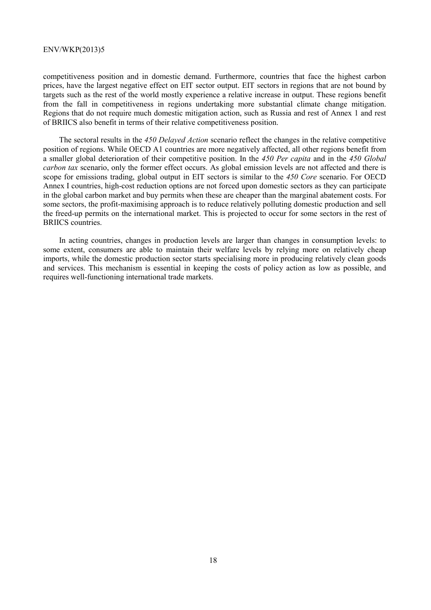competitiveness position and in domestic demand. Furthermore, countries that face the highest carbon prices, have the largest negative effect on EIT sector output. EIT sectors in regions that are not bound by targets such as the rest of the world mostly experience a relative increase in output. These regions benefit from the fall in competitiveness in regions undertaking more substantial climate change mitigation. Regions that do not require much domestic mitigation action, such as Russia and rest of Annex 1 and rest of BRIICS also benefit in terms of their relative competitiveness position.

The sectoral results in the *450 Delayed Action* scenario reflect the changes in the relative competitive position of regions. While OECD A1 countries are more negatively affected, all other regions benefit from a smaller global deterioration of their competitive position. In the *450 Per capita* and in the *450 Global carbon tax* scenario, only the former effect occurs. As global emission levels are not affected and there is scope for emissions trading, global output in EIT sectors is similar to the *450 Core* scenario. For OECD Annex I countries, high-cost reduction options are not forced upon domestic sectors as they can participate in the global carbon market and buy permits when these are cheaper than the marginal abatement costs. For some sectors, the profit-maximising approach is to reduce relatively polluting domestic production and sell the freed-up permits on the international market. This is projected to occur for some sectors in the rest of BRIICS countries.

In acting countries, changes in production levels are larger than changes in consumption levels: to some extent, consumers are able to maintain their welfare levels by relying more on relatively cheap imports, while the domestic production sector starts specialising more in producing relatively clean goods and services. This mechanism is essential in keeping the costs of policy action as low as possible, and requires well-functioning international trade markets.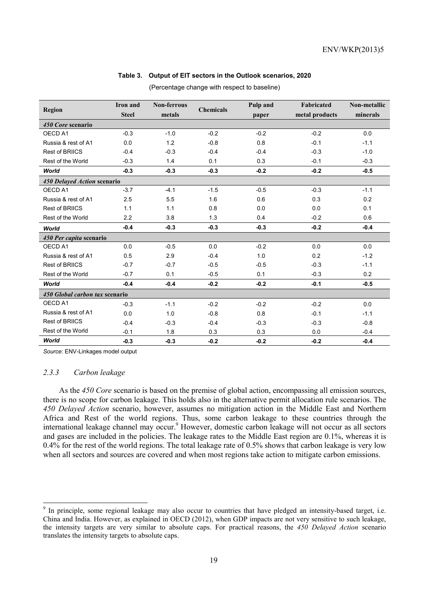## **Table 3. Output of EIT sectors in the Outlook scenarios, 2020**

| <b>Region</b>                      | <b>Iron</b> and<br><b>Steel</b> | <b>Non-ferrous</b><br>metals | <b>Chemicals</b> | Pulp and<br>paper | Fabricated<br>metal products | <b>Non-metallic</b><br>minerals |
|------------------------------------|---------------------------------|------------------------------|------------------|-------------------|------------------------------|---------------------------------|
| 450 Core scenario                  |                                 |                              |                  |                   |                              |                                 |
| OECD A1                            | $-0.3$                          | $-1.0$                       | $-0.2$           | $-0.2$            | $-0.2$                       | 0.0                             |
| Russia & rest of A1                | 0.0                             | 1.2                          | $-0.8$           | 0.8               | $-0.1$                       | $-1.1$                          |
| <b>Rest of BRIICS</b>              | $-0.4$                          | $-0.3$                       | $-0.4$           | $-0.4$            | $-0.3$                       | $-1.0$                          |
| Rest of the World                  | $-0.3$                          | 1.4                          | 0.1              | 0.3               | $-0.1$                       | $-0.3$                          |
| World                              | $-0.3$                          | $-0.3$                       | $-0.3$           | $-0.2$            | $-0.2$                       | $-0.5$                          |
| <b>450 Delayed Action scenario</b> |                                 |                              |                  |                   |                              |                                 |
| OECD A1                            | $-3.7$                          | $-4.1$                       | $-1.5$           | $-0.5$            | $-0.3$                       | $-1.1$                          |
| Russia & rest of A1                | 2.5                             | 5.5                          | 1.6              | 0.6               | 0.3                          | 0.2                             |
| <b>Rest of BRIICS</b>              | 1.1                             | 1.1                          | 0.8              | 0.0               | 0.0                          | 0.1                             |
| Rest of the World                  | 2.2                             | 3.8                          | 1.3              | 0.4               | $-0.2$                       | 0.6                             |
| World                              | $-0.4$                          | $-0.3$                       | $-0.3$           | $-0.3$            | $-0.2$                       | $-0.4$                          |
| 450 Per capita scenario            |                                 |                              |                  |                   |                              |                                 |
| OECD A1                            | 0.0                             | $-0.5$                       | 0.0              | $-0.2$            | 0.0                          | 0.0                             |
| Russia & rest of A1                | 0.5                             | 2.9                          | $-0.4$           | 1.0               | 0.2                          | $-1.2$                          |
| <b>Rest of BRIICS</b>              | $-0.7$                          | $-0.7$                       | $-0.5$           | $-0.5$            | $-0.3$                       | $-1.1$                          |
| Rest of the World                  | $-0.7$                          | 0.1                          | $-0.5$           | 0.1               | $-0.3$                       | 0.2                             |
| World                              | $-0.4$                          | $-0.4$                       | $-0.2$           | $-0.2$            | $-0.1$                       | $-0.5$                          |
| 450 Global carbon tax scenario     |                                 |                              |                  |                   |                              |                                 |
| OECD A1                            | $-0.3$                          | $-1.1$                       | $-0.2$           | $-0.2$            | $-0.2$                       | 0.0                             |
| Russia & rest of A1                | 0.0                             | 1.0                          | $-0.8$           | 0.8               | $-0.1$                       | $-1.1$                          |
| <b>Rest of BRIICS</b>              | $-0.4$                          | $-0.3$                       | $-0.4$           | $-0.3$            | $-0.3$                       | $-0.8$                          |
| Rest of the World                  | $-0.1$                          | 1.8                          | 0.3              | 0.3               | 0.0                          | $-0.4$                          |
| World                              | $-0.3$                          | $-0.3$                       | $-0.2$           | $-0.2$            | $-0.2$                       | $-0.4$                          |

(Percentage change with respect to baseline)

*Source*: ENV-Linkages model output

## *2.3.3 Carbon leakage*

As the *450 Core* scenario is based on the premise of global action, encompassing all emission sources, there is no scope for carbon leakage. This holds also in the alternative permit allocation rule scenarios. The *450 Delayed Action* scenario, however, assumes no mitigation action in the Middle East and Northern Africa and Rest of the world regions. Thus, some carbon leakage to these countries through the international leakage channel may occur.<sup>9</sup> However, domestic carbon leakage will not occur as all sectors and gases are included in the policies. The leakage rates to the Middle East region are 0.1%, whereas it is 0.4% for the rest of the world regions. The total leakage rate of 0.5% shows that carbon leakage is very low when all sectors and sources are covered and when most regions take action to mitigate carbon emissions.

<sup>-&</sup>lt;br>9 In principle, some regional leakage may also occur to countries that have pledged an intensity-based target, i.e. China and India. However, as explained in OECD (2012), when GDP impacts are not very sensitive to such leakage, the intensity targets are very similar to absolute caps. For practical reasons, the *450 Delayed Action* scenario translates the intensity targets to absolute caps.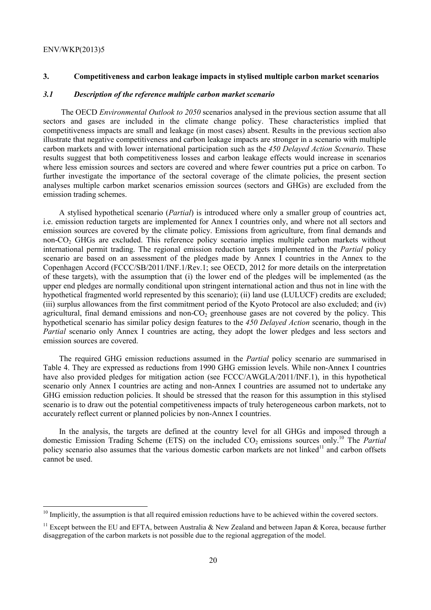$\overline{a}$ 

## **3. Competitiveness and carbon leakage impacts in stylised multiple carbon market scenarios**

## *3.1 Description of the reference multiple carbon market scenario*

 The OECD *Environmental Outlook to 2050* scenarios analysed in the previous section assume that all sectors and gases are included in the climate change policy. These characteristics implied that competitiveness impacts are small and leakage (in most cases) absent. Results in the previous section also illustrate that negative competitiveness and carbon leakage impacts are stronger in a scenario with multiple carbon markets and with lower international participation such as the *450 Delayed Action Scenario*. These results suggest that both competitiveness losses and carbon leakage effects would increase in scenarios where less emission sources and sectors are covered and where fewer countries put a price on carbon. To further investigate the importance of the sectoral coverage of the climate policies, the present section analyses multiple carbon market scenarios emission sources (sectors and GHGs) are excluded from the emission trading schemes.

A stylised hypothetical scenario (*Partial*) is introduced where only a smaller group of countries act, i.e. emission reduction targets are implemented for Annex I countries only, and where not all sectors and emission sources are covered by the climate policy. Emissions from agriculture, from final demands and non-CO2 GHGs are excluded. This reference policy scenario implies multiple carbon markets without international permit trading. The regional emission reduction targets implemented in the *Partial* policy scenario are based on an assessment of the pledges made by Annex I countries in the Annex to the Copenhagen Accord (FCCC/SB/2011/INF.1/Rev.1; see OECD, 2012 for more details on the interpretation of these targets), with the assumption that (i) the lower end of the pledges will be implemented (as the upper end pledges are normally conditional upon stringent international action and thus not in line with the hypothetical fragmented world represented by this scenario); (ii) land use (LULUCF) credits are excluded; (iii) surplus allowances from the first commitment period of the Kyoto Protocol are also excluded; and (iv) agricultural, final demand emissions and non- $CO<sub>2</sub>$  greenhouse gases are not covered by the policy. This hypothetical scenario has similar policy design features to the *450 Delayed Action* scenario, though in the *Partial* scenario only Annex I countries are acting, they adopt the lower pledges and less sectors and emission sources are covered.

The required GHG emission reductions assumed in the *Partial* policy scenario are summarised in Table 4. They are expressed as reductions from 1990 GHG emission levels. While non-Annex I countries have also provided pledges for mitigation action (see FCCC/AWGLA/2011/INF.1), in this hypothetical scenario only Annex I countries are acting and non-Annex I countries are assumed not to undertake any GHG emission reduction policies. It should be stressed that the reason for this assumption in this stylised scenario is to draw out the potential competitiveness impacts of truly heterogeneous carbon markets, not to accurately reflect current or planned policies by non-Annex I countries.

In the analysis, the targets are defined at the country level for all GHGs and imposed through a domestic Emission Trading Scheme (ETS) on the included CO<sub>2</sub> emissions sources only.<sup>10</sup> The *Partial* policy scenario also assumes that the various domestic carbon markets are not linked $11$  and carbon offsets cannot be used.

 $10$  Implicitly, the assumption is that all required emission reductions have to be achieved within the covered sectors.

<sup>&</sup>lt;sup>11</sup> Except between the EU and EFTA, between Australia & New Zealand and between Japan & Korea, because further disaggregation of the carbon markets is not possible due to the regional aggregation of the model.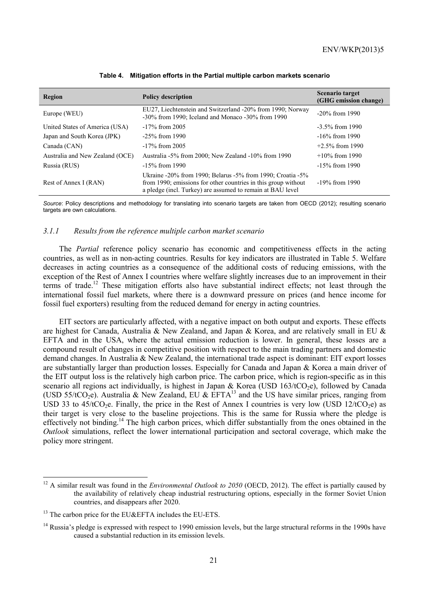| <b>Region</b>                   | Scenario target<br><b>Policy description</b><br>(GHG emission change)                                                                                                                      |                    |
|---------------------------------|--------------------------------------------------------------------------------------------------------------------------------------------------------------------------------------------|--------------------|
| Europe (WEU)                    | EU27, Liechtenstein and Switzerland -20% from 1990; Norway<br>$-30\%$ from 1990; Iceland and Monaco $-30\%$ from 1990                                                                      | $-20\%$ from 1990  |
| United States of America (USA)  | $-17\%$ from 2005                                                                                                                                                                          | $-3.5\%$ from 1990 |
| Japan and South Korea (JPK)     | $-25\%$ from 1990                                                                                                                                                                          | $-16\%$ from 1990  |
| Canada (CAN)                    | $-17\%$ from 2005                                                                                                                                                                          | $+2.5\%$ from 1990 |
| Australia and New Zealand (OCE) | Australia -5% from 2000; New Zealand -10% from 1990                                                                                                                                        | $+10\%$ from 1990  |
| Russia (RUS)                    | $-15\%$ from 1990                                                                                                                                                                          | $-15\%$ from 1990  |
| Rest of Annex I (RAN)           | Ukraine -20% from 1990; Belarus -5% from 1990; Croatia -5%<br>from 1990; emissions for other countries in this group without<br>a pledge (incl. Turkey) are assumed to remain at BAU level | $-19\%$ from 1990  |

*Source*: Policy descriptions and methodology for translating into scenario targets are taken from OECD (2012); resulting scenario targets are own calculations.

#### *3.1.1 Results from the reference multiple carbon market scenario*

The *Partial* reference policy scenario has economic and competitiveness effects in the acting countries, as well as in non-acting countries. Results for key indicators are illustrated in Table 5. Welfare decreases in acting countries as a consequence of the additional costs of reducing emissions, with the exception of the Rest of Annex I countries where welfare slightly increases due to an improvement in their terms of trade.<sup>12</sup> These mitigation efforts also have substantial indirect effects; not least through the international fossil fuel markets, where there is a downward pressure on prices (and hence income for fossil fuel exporters) resulting from the reduced demand for energy in acting countries.

EIT sectors are particularly affected, with a negative impact on both output and exports. These effects are highest for Canada, Australia & New Zealand, and Japan & Korea, and are relatively small in EU & EFTA and in the USA, where the actual emission reduction is lower. In general, these losses are a compound result of changes in competitive position with respect to the main trading partners and domestic demand changes. In Australia & New Zealand, the international trade aspect is dominant: EIT export losses are substantially larger than production losses. Especially for Canada and Japan & Korea a main driver of the EIT output loss is the relatively high carbon price. The carbon price, which is region-specific as in this scenario all regions act individually, is highest in Japan & Korea (USD 163/tCO<sub>2</sub>e), followed by Canada (USD 55/tCO<sub>2</sub>e). Australia & New Zealand, EU & EFTA<sup>13</sup> and the US have similar prices, ranging from USD 33 to 45/tCO<sub>2</sub>e. Finally, the price in the Rest of Annex I countries is very low (USD 12/tCO<sub>2</sub>e) as their target is very close to the baseline projections. This is the same for Russia where the pledge is effectively not binding.<sup>14</sup> The high carbon prices, which differ substantially from the ones obtained in the *Outlook* simulations, reflect the lower international participation and sectoral coverage, which make the policy more stringent.

 $\overline{a}$ 

<sup>&</sup>lt;sup>12</sup> A similar result was found in the *Environmental Outlook to 2050* (OECD, 2012). The effect is partially caused by the availability of relatively cheap industrial restructuring options, especially in the former Soviet Union countries, and disappears after 2020.

 $13$  The carbon price for the EU&EFTA includes the EU-ETS.

<sup>&</sup>lt;sup>14</sup> Russia's pledge is expressed with respect to 1990 emission levels, but the large structural reforms in the 1990s have caused a substantial reduction in its emission levels.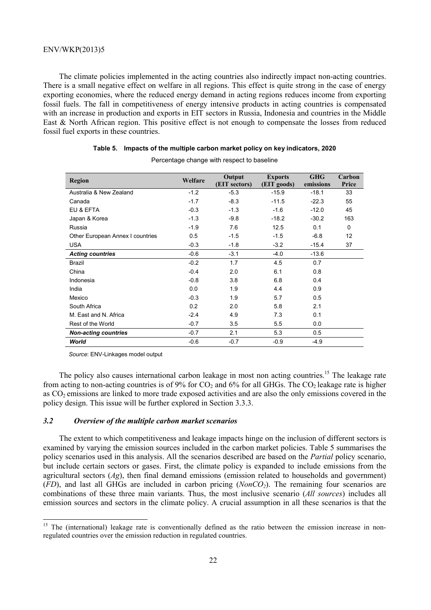The climate policies implemented in the acting countries also indirectly impact non-acting countries. There is a small negative effect on welfare in all regions. This effect is quite strong in the case of energy exporting economies, where the reduced energy demand in acting regions reduces income from exporting fossil fuels. The fall in competitiveness of energy intensive products in acting countries is compensated with an increase in production and exports in EIT sectors in Russia, Indonesia and countries in the Middle East & North African region. This positive effect is not enough to compensate the losses from reduced fossil fuel exports in these countries.

| Region                           | Welfare | Output<br>(EIT sectors) | <b>Exports</b><br>(EIT goods) | <b>GHG</b><br>emissions | Carbon<br>Price |
|----------------------------------|---------|-------------------------|-------------------------------|-------------------------|-----------------|
| Australia & New Zealand          | $-1.2$  | $-5.3$                  | $-15.9$                       | $-18.1$                 | 33              |
| Canada                           | $-1.7$  | $-8.3$                  | $-11.5$                       | $-22.3$                 | 55              |
| EU & EFTA                        | $-0.3$  | $-1.3$                  | $-1.6$                        | $-12.0$                 | 45              |
| Japan & Korea                    | $-1.3$  | $-9.8$                  | $-18.2$                       | $-30.2$                 | 163             |
| Russia                           | $-1.9$  | 7.6                     | 12.5                          | 0.1                     | 0               |
| Other European Annex I countries | 0.5     | $-1.5$                  | $-1.5$                        | $-6.8$                  | 12              |
| <b>USA</b>                       | $-0.3$  | $-1.8$                  | $-3.2$                        | $-15.4$                 | 37              |
| <b>Acting countries</b>          | $-0.6$  | $-3.1$                  | $-4.0$                        | $-13.6$                 |                 |
| Brazil                           | $-0.2$  | 1.7                     | 4.5                           | 0.7                     |                 |
| China                            | $-0.4$  | 2.0                     | 6.1                           | 0.8                     |                 |
| Indonesia                        | $-0.8$  | 3.8                     | 6.8                           | 0.4                     |                 |
| India                            | 0.0     | 1.9                     | 4.4                           | 0.9                     |                 |
| Mexico                           | $-0.3$  | 1.9                     | 5.7                           | 0.5                     |                 |
| South Africa                     | 0.2     | 2.0                     | 5.8                           | 2.1                     |                 |
| M. East and N. Africa            | $-2.4$  | 4.9                     | 7.3                           | 0.1                     |                 |
| Rest of the World                | $-0.7$  | 3.5                     | 5.5                           | 0.0                     |                 |
| <b>Non-acting countries</b>      | $-0.7$  | 2.1                     | 5.3                           | 0.5                     |                 |
| World                            | $-0.6$  | $-0.7$                  | $-0.9$                        | $-4.9$                  |                 |

**Table 5. Impacts of the multiple carbon market policy on key indicators, 2020** 

Percentage change with respect to baseline

*Source*: ENV-Linkages model output

The policy also causes international carbon leakage in most non acting countries.<sup>15</sup> The leakage rate from acting to non-acting countries is of 9% for  $CO<sub>2</sub>$  and 6% for all GHGs. The  $CO<sub>2</sub>$  leakage rate is higher as CO<sub>2</sub> emissions are linked to more trade exposed activities and are also the only emissions covered in the policy design. This issue will be further explored in Section 3.3.3.

#### *3.2 Overview of the multiple carbon market scenarios*

The extent to which competitiveness and leakage impacts hinge on the inclusion of different sectors is examined by varying the emission sources included in the carbon market policies. Table 5 summarises the policy scenarios used in this analysis. All the scenarios described are based on the *Partial* policy scenario, but include certain sectors or gases. First, the climate policy is expanded to include emissions from the agricultural sectors (*Ag*), then final demand emissions (emission related to households and government) (*FD*), and last all GHGs are included in carbon pricing (*NonCO2*). The remaining four scenarios are combinations of these three main variants. Thus, the most inclusive scenario (*All sources*) includes all emission sources and sectors in the climate policy. A crucial assumption in all these scenarios is that the

<sup>&</sup>lt;sup>15</sup> The (international) leakage rate is conventionally defined as the ratio between the emission increase in nonregulated countries over the emission reduction in regulated countries.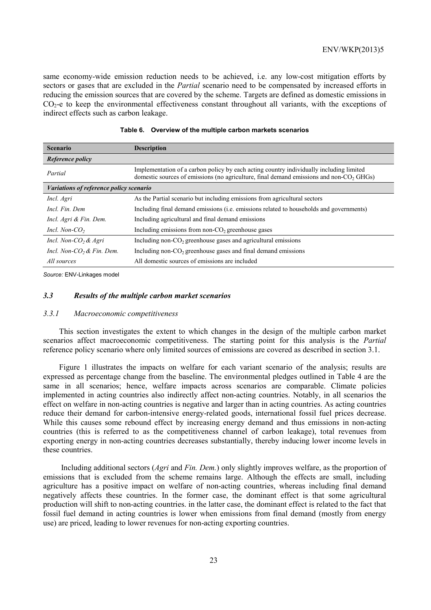same economy-wide emission reduction needs to be achieved, i.e. any low-cost mitigation efforts by sectors or gases that are excluded in the *Partial* scenario need to be compensated by increased efforts in reducing the emission sources that are covered by the scheme. Targets are defined as domestic emissions in  $CO<sub>2</sub>$ -e to keep the environmental effectiveness constant throughout all variants, with the exceptions of indirect effects such as carbon leakage.

| <b>Scenario</b>                                | <b>Description</b>                                                                                                                                                                    |
|------------------------------------------------|---------------------------------------------------------------------------------------------------------------------------------------------------------------------------------------|
| Reference policy                               |                                                                                                                                                                                       |
| Partial                                        | Implementation of a carbon policy by each acting country individually including limited<br>domestic sources of emissions (no agriculture, final demand emissions and non- $CO2$ GHGs) |
| <i>Variations of reference policy scenario</i> |                                                                                                                                                                                       |
| Incl. Agri                                     | As the Partial scenario but including emissions from agricultural sectors                                                                                                             |
| Incl. Fin. Dem                                 | Including final demand emissions (i.e. emissions related to households and governments)                                                                                               |
| Incl. Agri & Fin. Dem.                         | Including agricultural and final demand emissions                                                                                                                                     |
| Incl. Non- $CO2$                               | Including emissions from non- $CO2$ greenhouse gases                                                                                                                                  |
| Incl. Non- $CO$ , & Agri                       | Including non- $CO2$ greenhouse gases and agricultural emissions                                                                                                                      |
| Incl. Non- $CO$ , & Fin. Dem.                  | Including non- $CO2$ greenhouse gases and final demand emissions                                                                                                                      |
| All sources                                    | All domestic sources of emissions are included                                                                                                                                        |

#### **Table 6. Overview of the multiple carbon markets scenarios**

*Source:* ENV-Linkages model

#### *3.3 Results of the multiple carbon market scenarios*

## *3.3.1 Macroeconomic competitiveness*

This section investigates the extent to which changes in the design of the multiple carbon market scenarios affect macroeconomic competitiveness. The starting point for this analysis is the *Partial*  reference policy scenario where only limited sources of emissions are covered as described in section 3.1.

Figure 1 illustrates the impacts on welfare for each variant scenario of the analysis; results are expressed as percentage change from the baseline. The environmental pledges outlined in Table 4 are the same in all scenarios; hence, welfare impacts across scenarios are comparable. Climate policies implemented in acting countries also indirectly affect non-acting countries. Notably, in all scenarios the effect on welfare in non-acting countries is negative and larger than in acting countries. As acting countries reduce their demand for carbon-intensive energy-related goods, international fossil fuel prices decrease. While this causes some rebound effect by increasing energy demand and thus emissions in non-acting countries (this is referred to as the competitiveness channel of carbon leakage), total revenues from exporting energy in non-acting countries decreases substantially, thereby inducing lower income levels in these countries.

 Including additional sectors (*Agri* and *Fin. Dem.*) only slightly improves welfare, as the proportion of emissions that is excluded from the scheme remains large. Although the effects are small, including agriculture has a positive impact on welfare of non-acting countries, whereas including final demand negatively affects these countries. In the former case, the dominant effect is that some agricultural production will shift to non-acting countries. in the latter case, the dominant effect is related to the fact that fossil fuel demand in acting countries is lower when emissions from final demand (mostly from energy use) are priced, leading to lower revenues for non-acting exporting countries.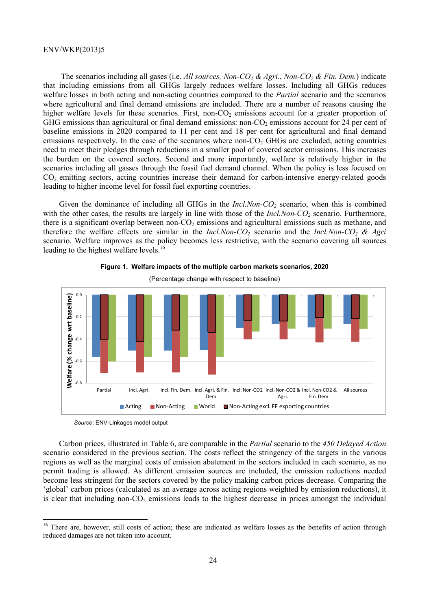The scenarios including all gases (i.e. *All sources, Non-CO<sub>2</sub> & Agri.*, *Non-CO<sub>2</sub> & Fin. Dem.*) indicate that including emissions from all GHGs largely reduces welfare losses. Including all GHGs reduces welfare losses in both acting and non-acting countries compared to the *Partial* scenario and the scenarios where agricultural and final demand emissions are included. There are a number of reasons causing the higher welfare levels for these scenarios. First, non- $CO<sub>2</sub>$  emissions account for a greater proportion of GHG emissions than agricultural or final demand emissions: non- $CO<sub>2</sub>$  emissions account for 24 per cent of baseline emissions in 2020 compared to 11 per cent and 18 per cent for agricultural and final demand emissions respectively. In the case of the scenarios where non- $CO<sub>2</sub>$  GHGs are excluded, acting countries need to meet their pledges through reductions in a smaller pool of covered sector emissions. This increases the burden on the covered sectors. Second and more importantly, welfare is relatively higher in the scenarios including all gasses through the fossil fuel demand channel. When the policy is less focused on CO2 emitting sectors, acting countries increase their demand for carbon-intensive energy-related goods leading to higher income level for fossil fuel exporting countries.

Given the dominance of including all GHGs in the *Incl.Non-CO<sub>2</sub>* scenario, when this is combined with the other cases, the results are largely in line with those of the *Incl.Non-CO<sub>2</sub>* scenario. Furthermore, there is a significant overlap between non- $CO<sub>2</sub>$  emissions and agricultural emissions such as methane, and therefore the welfare effects are similar in the *Incl.Non-CO<sub>2</sub>* scenario and the *Incl.Non-CO<sub>2</sub>* & *Agri* scenario. Welfare improves as the policy becomes less restrictive, with the scenario covering all sources leading to the highest welfare levels.<sup>16</sup>



#### **Figure 1. Welfare impacts of the multiple carbon markets scenarios, 2020**

(Percentage change with respect to baseline)

*Source*: ENV-Linkages model output

Carbon prices, illustrated in Table 6, are comparable in the *Partial* scenario to the *450 Delayed Action* scenario considered in the previous section. The costs reflect the stringency of the targets in the various regions as well as the marginal costs of emission abatement in the sectors included in each scenario, as no permit trading is allowed. As different emission sources are included, the emission reductions needed become less stringent for the sectors covered by the policy making carbon prices decrease. Comparing the 'global' carbon prices (calculated as an average across acting regions weighted by emission reductions), it is clear that including non- $CO<sub>2</sub>$  emissions leads to the highest decrease in prices amongst the individual

<sup>&</sup>lt;sup>16</sup> There are, however, still costs of action; these are indicated as welfare losses as the benefits of action through reduced damages are not taken into account.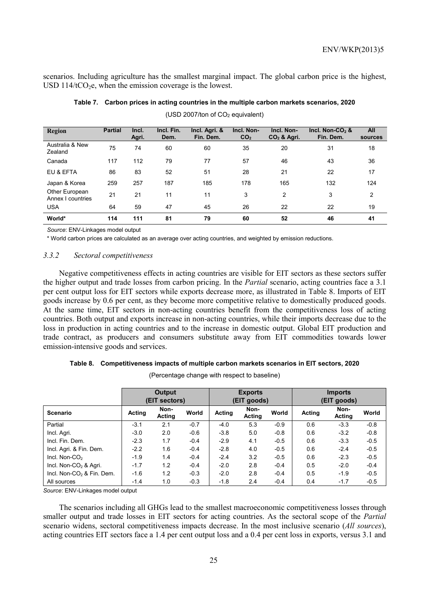scenarios. Including agriculture has the smallest marginal impact. The global carbon price is the highest, USD  $114/tCO<sub>2</sub>e$ , when the emission coverage is the lowest.

| Region                              | <b>Partial</b> | Incl.<br>Agri. | Incl. Fin.<br>Dem. | Incl. Agri. &<br>Fin. Dem. | Incl. Non-<br>CO <sub>2</sub> | Incl. Non-<br>$CO2$ & Agri. | Incl. Non-CO <sub>2</sub> &<br>Fin. Dem. | All<br>sources |
|-------------------------------------|----------------|----------------|--------------------|----------------------------|-------------------------------|-----------------------------|------------------------------------------|----------------|
| Australia & New<br>Zealand          | 75             | 74             | 60                 | 60                         | 35                            | 20                          | 31                                       | 18             |
| Canada                              | 117            | 112            | 79                 | 77                         | 57                            | 46                          | 43                                       | 36             |
| EU & EFTA                           | 86             | 83             | 52                 | 51                         | 28                            | 21                          | 22                                       | 17             |
| Japan & Korea                       | 259            | 257            | 187                | 185                        | 178                           | 165                         | 132                                      | 124            |
| Other European<br>Annex I countries | 21             | 21             | 11                 | 11                         | 3                             | $\overline{2}$              | 3                                        | 2              |
| <b>USA</b>                          | 64             | 59             | 47                 | 45                         | 26                            | 22                          | 22                                       | 19             |
| World*                              | 114            | 111            | 81                 | 79                         | 60                            | 52                          | 46                                       | 41             |

**Table 7. Carbon prices in acting countries in the multiple carbon markets scenarios, 2020**  (USD 2007/ton of CO<sub>2</sub> equivalent)

*Source*: ENV-Linkages model output

\* World carbon prices are calculated as an average over acting countries, and weighted by emission reductions.

### *3.3.2 Sectoral competitiveness*

Negative competitiveness effects in acting countries are visible for EIT sectors as these sectors suffer the higher output and trade losses from carbon pricing. In the *Partial* scenario, acting countries face a 3.1 per cent output loss for EIT sectors while exports decrease more, as illustrated in Table 8. Imports of EIT goods increase by 0.6 per cent, as they become more competitive relative to domestically produced goods. At the same time, EIT sectors in non-acting countries benefit from the competitiveness loss of acting countries. Both output and exports increase in non-acting countries, while their imports decrease due to the loss in production in acting countries and to the increase in domestic output. Global EIT production and trade contract, as producers and consumers substitute away from EIT commodities towards lower emission-intensive goods and services.

#### **Table 8. Competitiveness impacts of multiple carbon markets scenarios in EIT sectors, 2020**

(Percentage change with respect to baseline)

|                                       |        | <b>Output</b><br>(EIT sectors) |        |        | <b>Exports</b><br>(EIT goods) |        |        | <b>Imports</b><br>(EIT goods) |        |
|---------------------------------------|--------|--------------------------------|--------|--------|-------------------------------|--------|--------|-------------------------------|--------|
| Scenario                              | Acting | Non-<br>Acting                 | World  | Acting | Non-<br>Acting                | World  | Acting | Non-<br>Acting                | World  |
| Partial                               | $-3.1$ | 2.1                            | $-0.7$ | $-4.0$ | 5.3                           | $-0.9$ | 0.6    | $-3.3$                        | $-0.8$ |
| Incl. Agri.                           | $-3.0$ | 2.0                            | $-0.6$ | $-3.8$ | 5.0                           | $-0.8$ | 0.6    | $-3.2$                        | $-0.8$ |
| Incl. Fin. Dem.                       | $-2.3$ | 1.7                            | $-0.4$ | $-2.9$ | 4.1                           | $-0.5$ | 0.6    | $-3.3$                        | $-0.5$ |
| Incl. Agri. & Fin. Dem.               | $-2.2$ | 1.6                            | $-0.4$ | $-2.8$ | 4.0                           | $-0.5$ | 0.6    | $-2.4$                        | $-0.5$ |
| Incl. Non- $CO2$                      | $-1.9$ | 1.4                            | $-0.4$ | $-2.4$ | 3.2                           | $-0.5$ | 0.6    | $-2.3$                        | $-0.5$ |
| Incl. Non-CO <sub>2</sub> & Agri.     | $-1.7$ | 1.2                            | $-0.4$ | $-2.0$ | 2.8                           | $-0.4$ | 0.5    | $-2.0$                        | $-0.4$ |
| Incl. Non-CO <sub>2</sub> & Fin. Dem. | $-1.6$ | 1.2                            | $-0.3$ | $-2.0$ | 2.8                           | $-0.4$ | 0.5    | $-1.9$                        | $-0.5$ |
| All sources                           | $-1.4$ | 1.0                            | $-0.3$ | $-1.8$ | 2.4                           | $-0.4$ | 0.4    | $-1.7$                        | $-0.5$ |

*Source*: ENV-Linkages model output

The scenarios including all GHGs lead to the smallest macroeconomic competitiveness losses through smaller output and trade losses in EIT sectors for acting countries. As the sectoral scope of the *Partial*  scenario widens, sectoral competitiveness impacts decrease. In the most inclusive scenario (*All sources*), acting countries EIT sectors face a 1.4 per cent output loss and a 0.4 per cent loss in exports, versus 3.1 and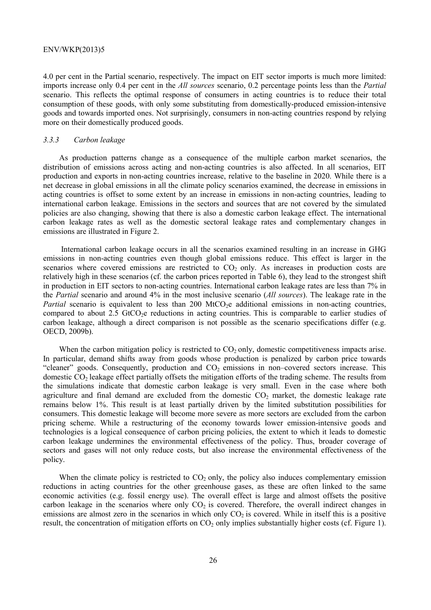4.0 per cent in the Partial scenario, respectively. The impact on EIT sector imports is much more limited: imports increase only 0.4 per cent in the *All sources* scenario, 0.2 percentage points less than the *Partial*  scenario. This reflects the optimal response of consumers in acting countries is to reduce their total consumption of these goods, with only some substituting from domestically-produced emission-intensive goods and towards imported ones. Not surprisingly, consumers in non-acting countries respond by relying more on their domestically produced goods.

## *3.3.3 Carbon leakage*

As production patterns change as a consequence of the multiple carbon market scenarios, the distribution of emissions across acting and non-acting countries is also affected. In all scenarios, EIT production and exports in non-acting countries increase, relative to the baseline in 2020. While there is a net decrease in global emissions in all the climate policy scenarios examined, the decrease in emissions in acting countries is offset to some extent by an increase in emissions in non-acting countries, leading to international carbon leakage. Emissions in the sectors and sources that are not covered by the simulated policies are also changing, showing that there is also a domestic carbon leakage effect. The international carbon leakage rates as well as the domestic sectoral leakage rates and complementary changes in emissions are illustrated in Figure 2.

 International carbon leakage occurs in all the scenarios examined resulting in an increase in GHG emissions in non-acting countries even though global emissions reduce. This effect is larger in the scenarios where covered emissions are restricted to  $CO<sub>2</sub>$  only. As increases in production costs are relatively high in these scenarios (cf. the carbon prices reported in Table 6), they lead to the strongest shift in production in EIT sectors to non-acting countries. International carbon leakage rates are less than 7% in the *Partial* scenario and around 4% in the most inclusive scenario (*All sources*). The leakage rate in the *Partial* scenario is equivalent to less than 200 MtCO<sub>2</sub>e additional emissions in non-acting countries, compared to about 2.5 GtCO<sub>2</sub>e reductions in acting countries. This is comparable to earlier studies of carbon leakage, although a direct comparison is not possible as the scenario specifications differ (e.g. OECD, 2009b).

When the carbon mitigation policy is restricted to  $CO<sub>2</sub>$  only, domestic competitiveness impacts arise. In particular, demand shifts away from goods whose production is penalized by carbon price towards "cleaner" goods. Consequently, production and  $CO<sub>2</sub>$  emissions in non–covered sectors increase. This domestic CO<sub>2</sub> leakage effect partially offsets the mitigation efforts of the trading scheme. The results from the simulations indicate that domestic carbon leakage is very small. Even in the case where both agriculture and final demand are excluded from the domestic  $CO<sub>2</sub>$  market, the domestic leakage rate remains below 1%. This result is at least partially driven by the limited substitution possibilities for consumers. This domestic leakage will become more severe as more sectors are excluded from the carbon pricing scheme. While a restructuring of the economy towards lower emission-intensive goods and technologies is a logical consequence of carbon pricing policies, the extent to which it leads to domestic carbon leakage undermines the environmental effectiveness of the policy. Thus, broader coverage of sectors and gases will not only reduce costs, but also increase the environmental effectiveness of the policy.

When the climate policy is restricted to  $CO<sub>2</sub>$  only, the policy also induces complementary emission reductions in acting countries for the other greenhouse gases, as these are often linked to the same economic activities (e.g. fossil energy use). The overall effect is large and almost offsets the positive carbon leakage in the scenarios where only  $CO<sub>2</sub>$  is covered. Therefore, the overall indirect changes in emissions are almost zero in the scenarios in which only  $CO<sub>2</sub>$  is covered. While in itself this is a positive result, the concentration of mitigation efforts on  $CO<sub>2</sub>$  only implies substantially higher costs (cf. Figure 1).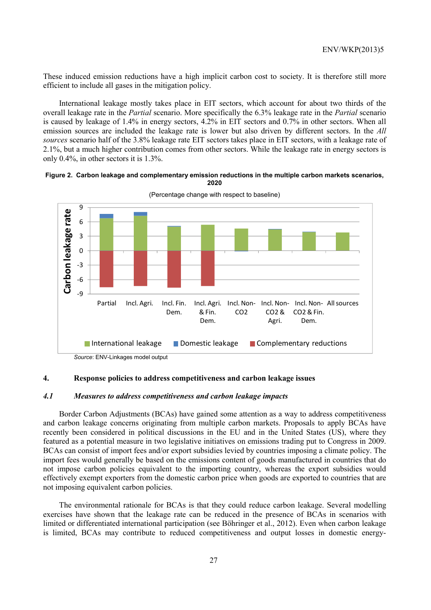These induced emission reductions have a high implicit carbon cost to society. It is therefore still more efficient to include all gases in the mitigation policy.

International leakage mostly takes place in EIT sectors, which account for about two thirds of the overall leakage rate in the *Partial* scenario. More specifically the 6.3% leakage rate in the *Partial* scenario is caused by leakage of 1.4% in energy sectors, 4.2% in EIT sectors and 0.7% in other sectors. When all emission sources are included the leakage rate is lower but also driven by different sectors. In the *All sources* scenario half of the 3.8% leakage rate EIT sectors takes place in EIT sectors, with a leakage rate of 2.1%, but a much higher contribution comes from other sectors. While the leakage rate in energy sectors is only 0.4%, in other sectors it is 1.3%.

#### **Figure 2. Carbon leakage and complementary emission reductions in the multiple carbon markets scenarios, 2020**



(Percentage change with respect to baseline)

# **4. Response policies to address competitiveness and carbon leakage issues**

#### *4.1 Measures to address competitiveness and carbon leakage impacts*

Border Carbon Adjustments (BCAs) have gained some attention as a way to address competitiveness and carbon leakage concerns originating from multiple carbon markets. Proposals to apply BCAs have recently been considered in political discussions in the EU and in the United States (US), where they featured as a potential measure in two legislative initiatives on emissions trading put to Congress in 2009. BCAs can consist of import fees and/or export subsidies levied by countries imposing a climate policy. The import fees would generally be based on the emissions content of goods manufactured in countries that do not impose carbon policies equivalent to the importing country, whereas the export subsidies would effectively exempt exporters from the domestic carbon price when goods are exported to countries that are not imposing equivalent carbon policies.

The environmental rationale for BCAs is that they could reduce carbon leakage. Several modelling exercises have shown that the leakage rate can be reduced in the presence of BCAs in scenarios with limited or differentiated international participation (see Böhringer et al., 2012). Even when carbon leakage is limited, BCAs may contribute to reduced competitiveness and output losses in domestic energy-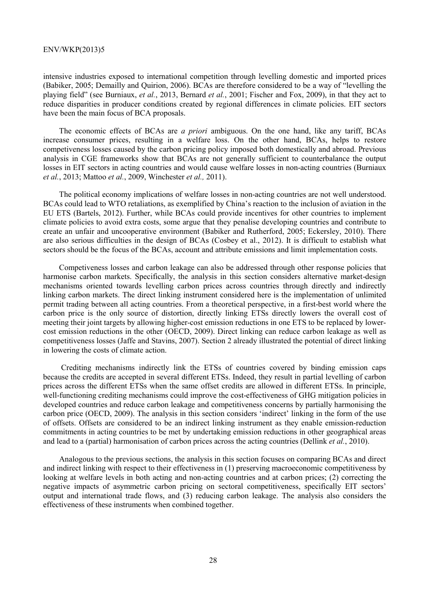intensive industries exposed to international competition through levelling domestic and imported prices (Babiker, 2005; Demailly and Quirion, 2006). BCAs are therefore considered to be a way of "levelling the playing field" (see Burniaux, *et al.*, 2013, Bernard *et al.*, 2001; Fischer and Fox, 2009), in that they act to reduce disparities in producer conditions created by regional differences in climate policies. EIT sectors have been the main focus of BCA proposals.

The economic effects of BCAs are *a priori* ambiguous. On the one hand, like any tariff, BCAs increase consumer prices, resulting in a welfare loss. On the other hand, BCAs, helps to restore competiveness losses caused by the carbon pricing policy imposed both domestically and abroad. Previous analysis in CGE frameworks show that BCAs are not generally sufficient to counterbalance the output losses in EIT sectors in acting countries and would cause welfare losses in non-acting countries (Burniaux *et al.*, 2013; Mattoo *et al.*, 2009, Winchester *et al.,* 2011).

The political economy implications of welfare losses in non-acting countries are not well understood. BCAs could lead to WTO retaliations, as exemplified by China's reaction to the inclusion of aviation in the EU ETS (Bartels, 2012). Further, while BCAs could provide incentives for other countries to implement climate policies to avoid extra costs, some argue that they penalise developing countries and contribute to create an unfair and uncooperative environment (Babiker and Rutherford, 2005; Eckersley, 2010). There are also serious difficulties in the design of BCAs (Cosbey et al., 2012). It is difficult to establish what sectors should be the focus of the BCAs, account and attribute emissions and limit implementation costs.

Competiveness losses and carbon leakage can also be addressed through other response policies that harmonise carbon markets. Specifically, the analysis in this section considers alternative market-design mechanisms oriented towards levelling carbon prices across countries through directly and indirectly linking carbon markets. The direct linking instrument considered here is the implementation of unlimited permit trading between all acting countries. From a theoretical perspective, in a first-best world where the carbon price is the only source of distortion, directly linking ETSs directly lowers the overall cost of meeting their joint targets by allowing higher-cost emission reductions in one ETS to be replaced by lowercost emission reductions in the other (OECD, 2009). Direct linking can reduce carbon leakage as well as competitiveness losses (Jaffe and Stavins, 2007). Section 2 already illustrated the potential of direct linking in lowering the costs of climate action.

 Crediting mechanisms indirectly link the ETSs of countries covered by binding emission caps because the credits are accepted in several different ETSs. Indeed, they result in partial levelling of carbon prices across the different ETSs when the same offset credits are allowed in different ETSs. In principle, well-functioning crediting mechanisms could improve the cost-effectiveness of GHG mitigation policies in developed countries and reduce carbon leakage and competitiveness concerns by partially harmonising the carbon price (OECD, 2009). The analysis in this section considers 'indirect' linking in the form of the use of offsets. Offsets are considered to be an indirect linking instrument as they enable emission-reduction commitments in acting countries to be met by undertaking emission reductions in other geographical areas and lead to a (partial) harmonisation of carbon prices across the acting countries (Dellink *et al.*, 2010).

Analogous to the previous sections, the analysis in this section focuses on comparing BCAs and direct and indirect linking with respect to their effectiveness in (1) preserving macroeconomic competitiveness by looking at welfare levels in both acting and non-acting countries and at carbon prices; (2) correcting the negative impacts of asymmetric carbon pricing on sectoral competitiveness, specifically EIT sectors' output and international trade flows, and (3) reducing carbon leakage. The analysis also considers the effectiveness of these instruments when combined together.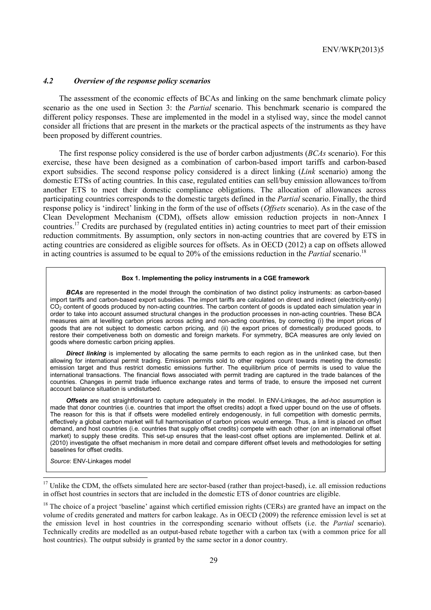## *4.2 Overview of the response policy scenarios*

The assessment of the economic effects of BCAs and linking on the same benchmark climate policy scenario as the one used in Section 3: the *Partial* scenario. This benchmark scenario is compared the different policy responses. These are implemented in the model in a stylised way, since the model cannot consider all frictions that are present in the markets or the practical aspects of the instruments as they have been proposed by different countries.

The first response policy considered is the use of border carbon adjustments (*BCAs* scenario). For this exercise, these have been designed as a combination of carbon-based import tariffs and carbon-based export subsidies. The second response policy considered is a direct linking (*Link* scenario) among the domestic ETSs of acting countries. In this case, regulated entities can sell/buy emission allowances to/from another ETS to meet their domestic compliance obligations. The allocation of allowances across participating countries corresponds to the domestic targets defined in the *Partial* scenario. Finally, the third response policy is 'indirect' linking in the form of the use of offsets (*Offsets* scenario). As in the case of the Clean Development Mechanism (CDM), offsets allow emission reduction projects in non-Annex I countries.17 Credits are purchased by (regulated entities in) acting countries to meet part of their emission reduction commitments. By assumption, only sectors in non-acting countries that are covered by ETS in acting countries are considered as eligible sources for offsets. As in OECD (2012) a cap on offsets allowed in acting countries is assumed to be equal to 20% of the emissions reduction in the *Partial* scenario.<sup>18</sup>

#### **Box 1. Implementing the policy instruments in a CGE framework**

*BCAs* are represented in the model through the combination of two distinct policy instruments: as carbon-based import tariffs and carbon-based export subsidies. The import tariffs are calculated on direct and indirect (electricity-only)  $CO<sub>2</sub>$  content of goods produced by non-acting countries. The carbon content of goods is updated each simulation year in order to take into account assumed structural changes in the production processes in non-acting countries. These BCA measures aim at levelling carbon prices across acting and non-acting countries, by correcting (i) the import prices of goods that are not subject to domestic carbon pricing, and (ii) the export prices of domestically produced goods, to restore their competiveness both on domestic and foreign markets. For symmetry, BCA measures are only levied on goods where domestic carbon pricing applies.

*Direct linking* is implemented by allocating the same permits to each region as in the unlinked case, but then allowing for international permit trading. Emission permits sold to other regions count towards meeting the domestic emission target and thus restrict domestic emissions further. The equilibrium price of permits is used to value the international transactions. The financial flows associated with permit trading are captured in the trade balances of the countries. Changes in permit trade influence exchange rates and terms of trade, to ensure the imposed net current account balance situation is undisturbed.

*Offsets* are not straightforward to capture adequately in the model. In ENV-Linkages, the *ad-hoc* assumption is made that donor countries (i.e. countries that import the offset credits) adopt a fixed upper bound on the use of offsets. The reason for this is that if offsets were modelled entirely endogenously, in full competition with domestic permits, effectively a global carbon market will full harmonisation of carbon prices would emerge. Thus, a limit is placed on offset demand, and host countries (i.e. countries that supply offset credits) compete with each other (on an international offset market) to supply these credits. This set-up ensures that the least-cost offset options are implemented. Dellink et al. (2010) investigate the offset mechanism in more detail and compare different offset levels and methodologies for setting baselines for offset credits.

*Source*: ENV-Linkages model

 $17$  Unlike the CDM, the offsets simulated here are sector-based (rather than project-based), i.e. all emission reductions in offset host countries in sectors that are included in the domestic ETS of donor countries are eligible.

<sup>&</sup>lt;sup>18</sup> The choice of a project 'baseline' against which certified emission rights (CERs) are granted have an impact on the volume of credits generated and matters for carbon leakage. As in OECD (2009) the reference emission level is set at the emission level in host countries in the corresponding scenario without offsets (i.e. the *Partial* scenario). Technically credits are modelled as an output-based rebate together with a carbon tax (with a common price for all host countries). The output subsidy is granted by the same sector in a donor country.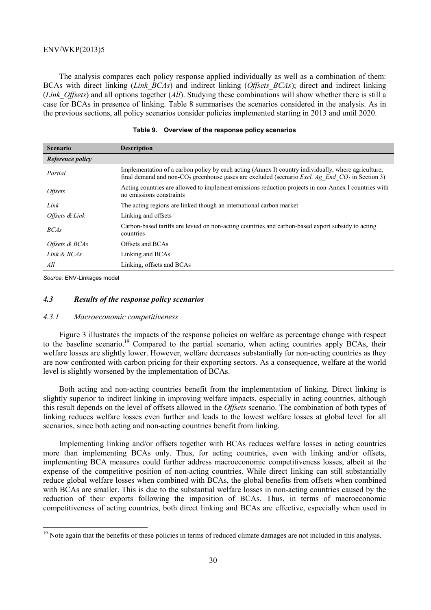The analysis compares each policy response applied individually as well as a combination of them: BCAs with direct linking (*Link\_BCAs*) and indirect linking (*Offsets\_BCAs*); direct and indirect linking (*Link\_Offsets*) and all options together (*All*). Studying these combinations will show whether there is still a case for BCAs in presence of linking. Table 8 summarises the scenarios considered in the analysis. As in the previous sections, all policy scenarios consider policies implemented starting in 2013 and until 2020.

| <b>Scenario</b>  | <b>Description</b>                                                                                                                                                                                                                   |
|------------------|--------------------------------------------------------------------------------------------------------------------------------------------------------------------------------------------------------------------------------------|
| Reference policy |                                                                                                                                                                                                                                      |
| Partial          | Implementation of a carbon policy by each acting (Annex I) country individually, where agriculture,<br>final demand and non-CO <sub>2</sub> greenhouse gases are excluded (scenario <i>Excl. Ag End CO<sub>2</sub></i> in Section 3) |
| <i>Offsets</i>   | Acting countries are allowed to implement emissions reduction projects in non-Annex I countries with<br>no emissions constraints                                                                                                     |
| Link             | The acting regions are linked though an international carbon market                                                                                                                                                                  |
| Offsets & Link   | Linking and offsets                                                                                                                                                                                                                  |
| <b>BCAs</b>      | Carbon-based tariffs are levied on non-acting countries and carbon-based export subsidy to acting<br>countries                                                                                                                       |
| Offsets & BCAs   | Offsets and BCAs                                                                                                                                                                                                                     |
| Link & BCAs      | Linking and BCAs                                                                                                                                                                                                                     |
| All              | Linking, offsets and BCAs                                                                                                                                                                                                            |

|  |  |  | Table 9. Overview of the response policy scenarios |
|--|--|--|----------------------------------------------------|
|--|--|--|----------------------------------------------------|

*Source:* ENV-Linkages model

## *4.3 Results of the response policy scenarios*

## *4.3.1 Macroeconomic competitiveness*

Figure 3 illustrates the impacts of the response policies on welfare as percentage change with respect to the baseline scenario.19 Compared to the partial scenario, when acting countries apply BCAs, their welfare losses are slightly lower. However, welfare decreases substantially for non-acting countries as they are now confronted with carbon pricing for their exporting sectors. As a consequence, welfare at the world level is slightly worsened by the implementation of BCAs.

Both acting and non-acting countries benefit from the implementation of linking. Direct linking is slightly superior to indirect linking in improving welfare impacts, especially in acting countries, although this result depends on the level of offsets allowed in the *Offsets* scenario. The combination of both types of linking reduces welfare losses even further and leads to the lowest welfare losses at global level for all scenarios, since both acting and non-acting countries benefit from linking.

Implementing linking and/or offsets together with BCAs reduces welfare losses in acting countries more than implementing BCAs only. Thus, for acting countries, even with linking and/or offsets, implementing BCA measures could further address macroeconomic competitiveness losses, albeit at the expense of the competitive position of non-acting countries. While direct linking can still substantially reduce global welfare losses when combined with BCAs, the global benefits from offsets when combined with BCAs are smaller. This is due to the substantial welfare losses in non-acting countries caused by the reduction of their exports following the imposition of BCAs. Thus, in terms of macroeconomic competitiveness of acting countries, both direct linking and BCAs are effective, especially when used in

<sup>&</sup>lt;sup>19</sup> Note again that the benefits of these policies in terms of reduced climate damages are not included in this analysis.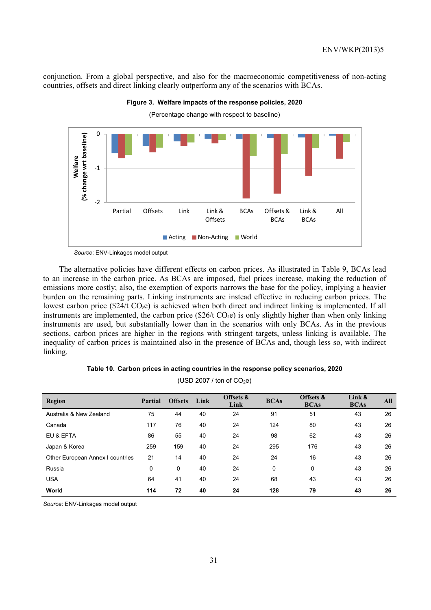conjunction. From a global perspective, and also for the macroeconomic competitiveness of non-acting countries, offsets and direct linking clearly outperform any of the scenarios with BCAs.



**Figure 3. Welfare impacts of the response policies, 2020** 

(Percentage change with respect to baseline)

The alternative policies have different effects on carbon prices. As illustrated in Table 9, BCAs lead to an increase in the carbon price. As BCAs are imposed, fuel prices increase, making the reduction of emissions more costly; also, the exemption of exports narrows the base for the policy, implying a heavier burden on the remaining parts. Linking instruments are instead effective in reducing carbon prices. The lowest carbon price  $(S24/t CO<sub>2</sub>e)$  is achieved when both direct and indirect linking is implemented. If all instruments are implemented, the carbon price  $(\$26/t \text{ }CO\text{}_2\text{e})$  is only slightly higher than when only linking instruments are used, but substantially lower than in the scenarios with only BCAs. As in the previous sections, carbon prices are higher in the regions with stringent targets, unless linking is available. The inequality of carbon prices is maintained also in the presence of BCAs and, though less so, with indirect linking.

#### **Table 10. Carbon prices in acting countries in the response policy scenarios, 2020**

(USD 2007 / ton of  $CO<sub>2</sub>e$ )

| Region                           | Partial | <b>Offsets</b> | Link | Offsets &<br>Link | <b>BCAs</b> | Offsets &<br><b>BCAs</b> | Link &<br><b>BCAs</b> | All |
|----------------------------------|---------|----------------|------|-------------------|-------------|--------------------------|-----------------------|-----|
| Australia & New Zealand          | 75      | 44             | 40   | 24                | 91          | 51                       | 43                    | 26  |
| Canada                           | 117     | 76             | 40   | 24                | 124         | 80                       | 43                    | 26  |
| EU & EFTA                        | 86      | 55             | 40   | 24                | 98          | 62                       | 43                    | 26  |
| Japan & Korea                    | 259     | 159            | 40   | 24                | 295         | 176                      | 43                    | 26  |
| Other European Annex I countries | 21      | 14             | 40   | 24                | 24          | 16                       | 43                    | 26  |
| Russia                           | 0       | 0              | 40   | 24                | 0           | 0                        | 43                    | 26  |
| <b>USA</b>                       | 64      | 41             | 40   | 24                | 68          | 43                       | 43                    | 26  |
| World                            | 114     | 72             | 40   | 24                | 128         | 79                       | 43                    | 26  |

*Source*: ENV-Linkages model output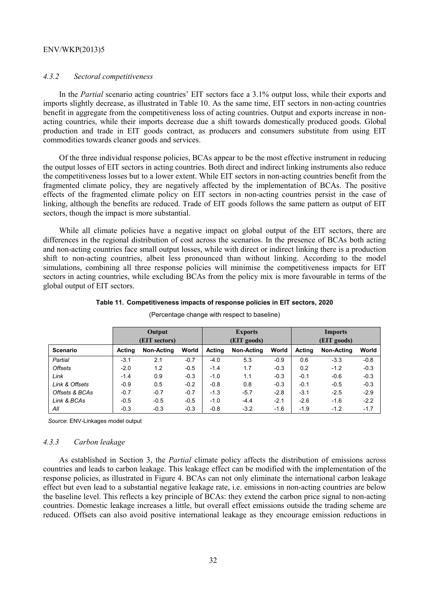## *4.3.2 Sectoral competitiveness*

In the *Partial* scenario acting countries' EIT sectors face a 3.1% output loss, while their exports and imports slightly decrease, as illustrated in Table 10. As the same time, EIT sectors in non-acting countries benefit in aggregate from the competitiveness loss of acting countries. Output and exports increase in nonacting countries, while their imports decrease due a shift towards domestically produced goods. Global production and trade in EIT goods contract, as producers and consumers substitute from using EIT commodities towards cleaner goods and services.

Of the three individual response policies, BCAs appear to be the most effective instrument in reducing the output losses of EIT sectors in acting countries. Both direct and indirect linking instruments also reduce the competitiveness losses but to a lower extent. While EIT sectors in non-acting countries benefit from the fragmented climate policy, they are negatively affected by the implementation of BCAs. The positive effects of the fragmented climate policy on EIT sectors in non-acting countries persist in the case of linking, although the benefits are reduced. Trade of EIT goods follows the same pattern as output of EIT sectors, though the impact is more substantial.

While all climate policies have a negative impact on global output of the EIT sectors, there are differences in the regional distribution of cost across the scenarios. In the presence of BCAs both acting and non-acting countries face small output losses, while with direct or indirect linking there is a production shift to non-acting countries, albeit less pronounced than without linking. According to the model simulations, combining all three response policies will minimise the competitiveness impacts for EIT sectors in acting countries, while excluding BCAs from the policy mix is more favourable in terms of the global output of EIT sectors.

|                |        | Output        |        | <b>Exports</b> |             |        | Imports |             |        |
|----------------|--------|---------------|--------|----------------|-------------|--------|---------|-------------|--------|
|                |        | (EIT sectors) |        |                | (EIT goods) |        |         | (EIT goods) |        |
| Scenario       | Acting | Non-Acting    | World  | Acting         | Non-Acting  | World  | Acting  | Non-Acting  | World  |
| Partial        | $-3.1$ | 2.1           | $-0.7$ | $-4.0$         | 5.3         | $-0.9$ | 0.6     | $-3.3$      | $-0.8$ |
| <b>Offsets</b> | $-2.0$ | 1.2           | $-0.5$ | $-1.4$         | 1.7         | $-0.3$ | 0.2     | $-1.2$      | $-0.3$ |
| Link           | $-1.4$ | 0.9           | $-0.3$ | $-1.0$         | 1.1         | $-0.3$ | $-0.1$  | $-0.6$      | $-0.3$ |
| Link & Offsets | $-0.9$ | 0.5           | $-0.2$ | $-0.8$         | 0.8         | $-0.3$ | $-0.1$  | $-0.5$      | $-0.3$ |
| Offsets & BCAs | $-0.7$ | $-0.7$        | $-0.7$ | $-1.3$         | $-5.7$      | $-2.8$ | $-3.1$  | $-2.5$      | $-2.9$ |
| Link & BCAs    | $-0.5$ | $-0.5$        | $-0.5$ | $-1.0$         | $-4.4$      | $-2.1$ | $-2.6$  | $-1.6$      | $-2.2$ |
| All            | $-0.3$ | $-0.3$        | $-0.3$ | $-0.8$         | $-3.2$      | $-1.6$ | $-1.9$  | $-1.2$      | $-1.7$ |

**Table 11. Competitiveness impacts of response policies in EIT sectors, 2020** 

(Percentage change with respect to baseline)

*Source*: ENV-Linkages model output

## *4.3.3 Carbon leakage*

As established in Section 3, the *Partial* climate policy affects the distribution of emissions across countries and leads to carbon leakage. This leakage effect can be modified with the implementation of the response policies, as illustrated in Figure 4. BCAs can not only eliminate the international carbon leakage effect but even lead to a substantial negative leakage rate, i.e. emissions in non-acting countries are below the baseline level. This reflects a key principle of BCAs: they extend the carbon price signal to non-acting countries. Domestic leakage increases a little, but overall effect emissions outside the trading scheme are reduced. Offsets can also avoid positive international leakage as they encourage emission reductions in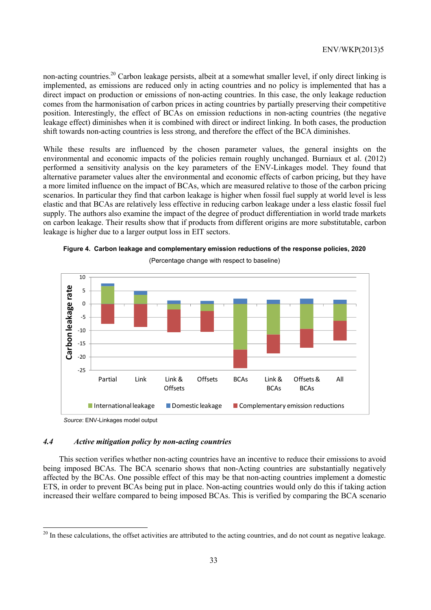non-acting countries.<sup>20</sup> Carbon leakage persists, albeit at a somewhat smaller level, if only direct linking is implemented, as emissions are reduced only in acting countries and no policy is implemented that has a direct impact on production or emissions of non-acting countries. In this case, the only leakage reduction comes from the harmonisation of carbon prices in acting countries by partially preserving their competitive position. Interestingly, the effect of BCAs on emission reductions in non-acting countries (the negative leakage effect) diminishes when it is combined with direct or indirect linking. In both cases, the production shift towards non-acting countries is less strong, and therefore the effect of the BCA diminishes.

While these results are influenced by the chosen parameter values, the general insights on the environmental and economic impacts of the policies remain roughly unchanged. Burniaux et al. (2012) performed a sensitivity analysis on the key parameters of the ENV-Linkages model. They found that alternative parameter values alter the environmental and economic effects of carbon pricing, but they have a more limited influence on the impact of BCAs, which are measured relative to those of the carbon pricing scenarios. In particular they find that carbon leakage is higher when fossil fuel supply at world level is less elastic and that BCAs are relatively less effective in reducing carbon leakage under a less elastic fossil fuel supply. The authors also examine the impact of the degree of product differentiation in world trade markets on carbon leakage. Their results show that if products from different origins are more substitutable, carbon leakage is higher due to a larger output loss in EIT sectors.



**Figure 4. Carbon leakage and complementary emission reductions of the response policies, 2020**  (Percentage change with respect to baseline)

*Source*: ENV-Linkages model output

## *4.4 Active mitigation policy by non-acting countries*

This section verifies whether non-acting countries have an incentive to reduce their emissions to avoid being imposed BCAs. The BCA scenario shows that non-Acting countries are substantially negatively affected by the BCAs. One possible effect of this may be that non-acting countries implement a domestic ETS, in order to prevent BCAs being put in place. Non-acting countries would only do this if taking action increased their welfare compared to being imposed BCAs. This is verified by comparing the BCA scenario

 $20$  In these calculations, the offset activities are attributed to the acting countries, and do not count as negative leakage.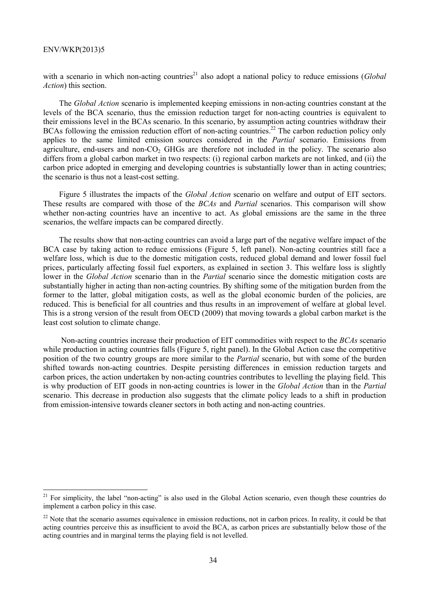with a scenario in which non-acting countries<sup>21</sup> also adopt a national policy to reduce emissions (*Global Action*) this section.

The *Global Action* scenario is implemented keeping emissions in non-acting countries constant at the levels of the BCA scenario, thus the emission reduction target for non-acting countries is equivalent to their emissions level in the BCAs scenario. In this scenario, by assumption acting countries withdraw their BCAs following the emission reduction effort of non-acting countries.<sup>22</sup> The carbon reduction policy only applies to the same limited emission sources considered in the *Partial* scenario. Emissions from agriculture, end-users and non-CO<sub>2</sub> GHGs are therefore not included in the policy. The scenario also differs from a global carbon market in two respects: (i) regional carbon markets are not linked, and (ii) the carbon price adopted in emerging and developing countries is substantially lower than in acting countries; the scenario is thus not a least-cost setting.

Figure 5 illustrates the impacts of the *Global Action* scenario on welfare and output of EIT sectors. These results are compared with those of the *BCAs* and *Partial* scenarios. This comparison will show whether non-acting countries have an incentive to act. As global emissions are the same in the three scenarios, the welfare impacts can be compared directly.

The results show that non-acting countries can avoid a large part of the negative welfare impact of the BCA case by taking action to reduce emissions (Figure 5, left panel). Non-acting countries still face a welfare loss, which is due to the domestic mitigation costs, reduced global demand and lower fossil fuel prices, particularly affecting fossil fuel exporters, as explained in section 3. This welfare loss is slightly lower in the *Global Action* scenario than in the *Partial* scenario since the domestic mitigation costs are substantially higher in acting than non-acting countries. By shifting some of the mitigation burden from the former to the latter, global mitigation costs, as well as the global economic burden of the policies, are reduced. This is beneficial for all countries and thus results in an improvement of welfare at global level. This is a strong version of the result from OECD (2009) that moving towards a global carbon market is the least cost solution to climate change.

 Non-acting countries increase their production of EIT commodities with respect to the *BCAs* scenario while production in acting countries falls (Figure 5, right panel). In the Global Action case the competitive position of the two country groups are more similar to the *Partial* scenario, but with some of the burden shifted towards non-acting countries. Despite persisting differences in emission reduction targets and carbon prices, the action undertaken by non-acting countries contributes to levelling the playing field. This is why production of EIT goods in non-acting countries is lower in the *Global Action* than in the *Partial* scenario. This decrease in production also suggests that the climate policy leads to a shift in production from emission-intensive towards cleaner sectors in both acting and non-acting countries.

 $21$  For simplicity, the label "non-acting" is also used in the Global Action scenario, even though these countries do implement a carbon policy in this case.

<sup>&</sup>lt;sup>22</sup> Note that the scenario assumes equivalence in emission reductions, not in carbon prices. In reality, it could be that acting countries perceive this as insufficient to avoid the BCA, as carbon prices are substantially below those of the acting countries and in marginal terms the playing field is not levelled.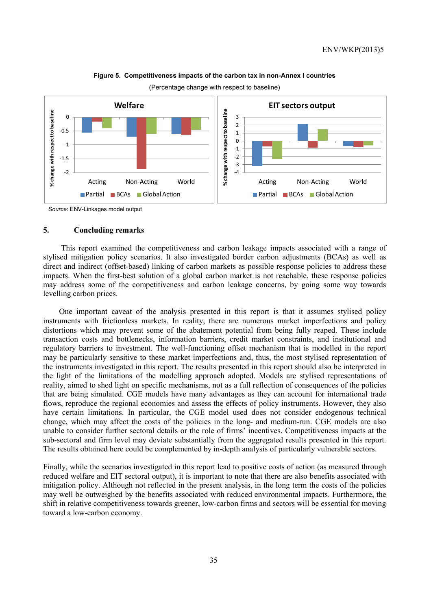

#### **Figure 5. Competitiveness impacts of the carbon tax in non-Annex I countries**

(Percentage change with respect to baseline)

*Source*: ENV-Linkages model output

## **5. Concluding remarks**

 This report examined the competitiveness and carbon leakage impacts associated with a range of stylised mitigation policy scenarios. It also investigated border carbon adjustments (BCAs) as well as direct and indirect (offset-based) linking of carbon markets as possible response policies to address these impacts. When the first-best solution of a global carbon market is not reachable, these response policies may address some of the competitiveness and carbon leakage concerns, by going some way towards levelling carbon prices.

One important caveat of the analysis presented in this report is that it assumes stylised policy instruments with frictionless markets. In reality, there are numerous market imperfections and policy distortions which may prevent some of the abatement potential from being fully reaped. These include transaction costs and bottlenecks, information barriers, credit market constraints, and institutional and regulatory barriers to investment. The well-functioning offset mechanism that is modelled in the report may be particularly sensitive to these market imperfections and, thus, the most stylised representation of the instruments investigated in this report. The results presented in this report should also be interpreted in the light of the limitations of the modelling approach adopted. Models are stylised representations of reality, aimed to shed light on specific mechanisms, not as a full reflection of consequences of the policies that are being simulated. CGE models have many advantages as they can account for international trade flows, reproduce the regional economies and assess the effects of policy instruments. However, they also have certain limitations. In particular, the CGE model used does not consider endogenous technical change, which may affect the costs of the policies in the long- and medium-run. CGE models are also unable to consider further sectoral details or the role of firms' incentives. Competitiveness impacts at the sub-sectoral and firm level may deviate substantially from the aggregated results presented in this report. The results obtained here could be complemented by in-depth analysis of particularly vulnerable sectors.

Finally, while the scenarios investigated in this report lead to positive costs of action (as measured through reduced welfare and EIT sectoral output), it is important to note that there are also benefits associated with mitigation policy. Although not reflected in the present analysis, in the long term the costs of the policies may well be outweighed by the benefits associated with reduced environmental impacts. Furthermore, the shift in relative competitiveness towards greener, low-carbon firms and sectors will be essential for moving toward a low-carbon economy.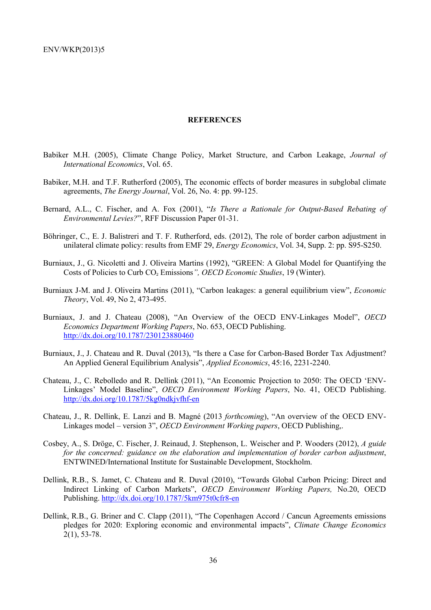#### **REFERENCES**

- Babiker M.H. (2005), Climate Change Policy, Market Structure, and Carbon Leakage, *Journal of International Economics*, Vol. 65.
- Babiker, M.H. and T.F. Rutherford (2005), The economic effects of border measures in subglobal climate agreements, *The Energy Journal*, Vol. 26, No. 4: pp. 99-125.
- Bernard, A.L., C. Fischer, and A. Fox (2001), "*Is There a Rationale for Output-Based Rebating of Environmental Levies?*", RFF Discussion Paper 01-31.
- Böhringer, C., E. J. Balistreri and T. F. Rutherford, eds. (2012), The role of border carbon adjustment in unilateral climate policy: results from EMF 29, *Energy Economics*, Vol. 34, Supp. 2: pp. S95-S250.
- Burniaux, J., G. Nicoletti and J. Oliveira Martins (1992), "GREEN: A Global Model for Quantifying the Costs of Policies to Curb CO2 Emissions*", OECD Economic Studies*, 19 (Winter).
- Burniaux J-M. and J. Oliveira Martins (2011), "Carbon leakages: a general equilibrium view", *Economic Theory*, Vol. 49, No 2, 473-495.
- Burniaux, J. and J. Chateau (2008), "An Overview of the OECD ENV-Linkages Model", *OECD Economics Department Working Papers*, No. 653, OECD Publishing. http://dx.doi.org/10.1787/230123880460
- Burniaux, J., J. Chateau and R. Duval (2013), "Is there a Case for Carbon-Based Border Tax Adjustment? An Applied General Equilibrium Analysis", *Applied Economics*, 45:16, 2231-2240.
- Chateau, J., C. Rebolledo and R. Dellink (2011), "An Economic Projection to 2050: The OECD 'ENV-Linkages' Model Baseline", *OECD Environment Working Papers*, No. 41, OECD Publishing. http://dx.doi.org/10.1787/5kg0ndkjvfhf-en
- Chateau, J., R. Dellink, E. Lanzi and B. Magné (2013 *forthcoming*), "An overview of the OECD ENV-Linkages model – version 3", *OECD Environment Working papers*, OECD Publishing,.
- Cosbey, A., S. Dröge, C. Fischer, J. Reinaud, J. Stephenson, L. Weischer and P. Wooders (2012), *A guide for the concerned: guidance on the elaboration and implementation of border carbon adjustment*, ENTWINED/International Institute for Sustainable Development, Stockholm.
- Dellink, R.B., S. Jamet, C. Chateau and R. Duval (2010), "Towards Global Carbon Pricing: Direct and Indirect Linking of Carbon Markets", *OECD Environment Working Papers,* No.20, OECD Publishing. http://dx.doi.org/10.1787/5km975t0cfr8-en
- Dellink, R.B., G. Briner and C. Clapp (2011), "The Copenhagen Accord / Cancun Agreements emissions pledges for 2020: Exploring economic and environmental impacts", *Climate Change Economics* 2(1), 53-78.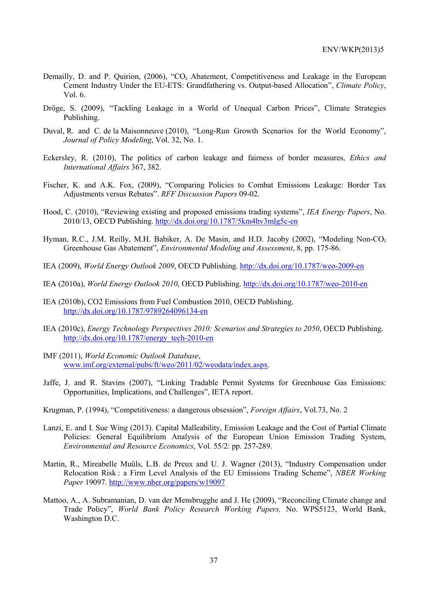- Demailly, D. and P. Quirion, (2006), "CO<sub>2</sub> Abatement, Competitiveness and Leakage in the European Cement Industry Under the EU-ETS: Grandfathering vs. Output-based Allocation", *Climate Policy*, Vol. 6.
- Dröge, S. (2009), "Tackling Leakage in a World of Unequal Carbon Prices", Climate Strategies Publishing.
- Duval, R. and C. de la Maisonneuve (2010), "Long-Run Growth Scenarios for the World Economy", *Journal of Policy Modeling*, Vol. 32, No. 1.
- Eckersley, R. (2010), The politics of carbon leakage and fairness of border measures, *Ethics and International Affairs* 367, 382.
- Fischer, K. and A.K. Fox, (2009), "Comparing Policies to Combat Emissions Leakage: Border Tax Adjustments versus Rebates". *RFF Discussion Papers* 09-02.
- Hood, C. (2010), "Reviewing existing and proposed emissions trading systems", *IEA Energy Papers*, No. 2010/13, OECD Publishing. http://dx.doi.org/10.1787/5km4hv3mlg5c-en
- Hyman, R.C., J.M. Reilly, M.H. Babiker, A. De Masin, and H.D. Jacoby (2002), "Modeling Non-CO<sup>2</sup> Greenhouse Gas Abatement", *Environmental Modeling and Assessment*, 8, pp. 175-86.
- IEA (2009), *World Energy Outlook 2009*, OECD Publishing. http://dx.doi.org/10.1787/weo-2009-en
- IEA (2010a), *World Energy Outlook 2010*, OECD Publishing. http://dx.doi.org/10.1787/weo-2010-en
- IEA (2010b), CO2 Emissions from Fuel Combustion 2010, OECD Publishing. http://dx.doi.org/10.1787/9789264096134-en
- IEA (2010c), *Energy Technology Perspectives 2010: Scenarios and Strategies to 2050*, OECD Publishing. http://dx.doi.org/10.1787/energy\_tech-2010-en
- IMF (2011), *World Economic Outlook Database*, www.imf.org/external/pubs/ft/weo/2011/02/weodata/index.aspx.
- Jaffe, J. and R. Stavins (2007), "Linking Tradable Permit Systems for Greenhouse Gas Emissions: Opportunities, Implications, and Challenges", IETA report.
- Krugman, P. (1994), "Competitiveness: a dangerous obsession", *Foreign Affairs*, Vol.73, No. 2
- Lanzi, E. and I. Sue Wing (2013). Capital Malleability, Emission Leakage and the Cost of Partial Climate Policies: General Equilibrium Analysis of the European Union Emission Trading System, *Environmental and Resource Economics*, Vol. 55/2: pp. 257-289.
- Martin, R., Mireabelle Muûls, L.B. de Preux and U. J. Wagner (2013), "Industry Compensation under Relocation Risk : a Firm Level Analysis of the EU Emissions Trading Scheme", *NBER Working Paper* 19097. http://www.nber.org/papers/w19097
- Mattoo, A., A. Subramanian, D. van der Mensbrugghe and J. He (2009), "Reconciling Climate change and Trade Policy", *World Bank Policy Research Working Papers,* No. WPS5123, World Bank, Washington D.C.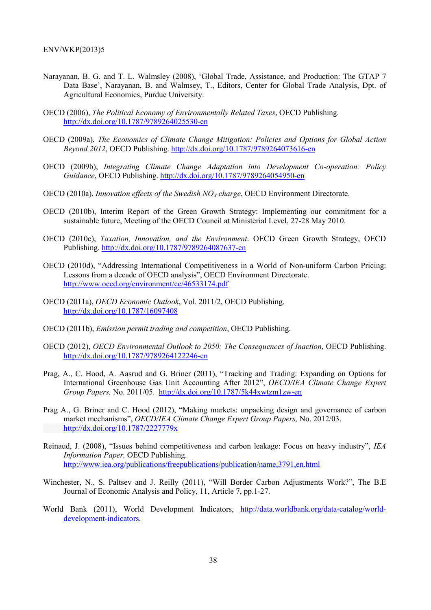- Narayanan, B. G. and T. L. Walmsley (2008), 'Global Trade, Assistance, and Production: The GTAP 7 Data Base', Narayanan, B. and Walmsey, T., Editors, Center for Global Trade Analysis, Dpt. of Agricultural Economics, Purdue University.
- OECD (2006), *The Political Economy of Environmentally Related Taxes*, OECD Publishing. http://dx.doi.org/10.1787/9789264025530-en
- OECD (2009a), *The Economics of Climate Change Mitigation: Policies and Options for Global Action Beyond 2012*, OECD Publishing. http://dx.doi.org/10.1787/9789264073616-en
- OECD (2009b), *Integrating Climate Change Adaptation into Development Co-operation: Policy Guidance*, OECD Publishing. http://dx.doi.org/10.1787/9789264054950-en
- OECD (2010a), *Innovation effects of the Swedish NO<sub>X</sub> charge*, OECD Environment Directorate.
- OECD (2010b), Interim Report of the Green Growth Strategy: Implementing our commitment for a sustainable future, Meeting of the OECD Council at Ministerial Level, 27-28 May 2010.
- OECD (2010c), *Taxation, Innovation, and the Environment*. OECD Green Growth Strategy, OECD Publishing. http://dx.doi.org/10.1787/9789264087637-en
- OECD (2010d), "Addressing International Competitiveness in a World of Non-uniform Carbon Pricing: Lessons from a decade of OECD analysis", OECD Environment Directorate. http://www.oecd.org/environment/cc/46533174.pdf
- OECD (2011a), *OECD Economic Outlook*, Vol. 2011/2, OECD Publishing. http://dx.doi.org/10.1787/16097408
- OECD (2011b), *Emission permit trading and competition*, OECD Publishing.
- OECD (2012), *OECD Environmental Outlook to 2050: The Consequences of Inaction*, OECD Publishing. http://dx.doi.org/10.1787/9789264122246-en
- Prag, A., C. Hood, A. Aasrud and G. Briner (2011), "Tracking and Trading: Expanding on Options for International Greenhouse Gas Unit Accounting After 2012", *OECD/IEA Climate Change Expert Group Papers,* No. 2011/05. http://dx.doi.org/10.1787/5k44xwtzm1zw-en
- Prag A., G. Briner and C. Hood (2012), "Making markets: unpacking design and governance of carbon market mechanisms", *OECD/IEA Climate Change Expert Group Papers,* No. 2012/03. http://dx.doi.org/10.1787/2227779x
- Reinaud, J. (2008), "Issues behind competitiveness and carbon leakage: Focus on heavy industry", *IEA Information Paper,* OECD Publishing. http://www.iea.org/publications/freepublications/publication/name,3791,en.html
- Winchester, N., S. Paltsev and J. Reilly (2011), "Will Border Carbon Adjustments Work?", The B.E Journal of Economic Analysis and Policy, 11, Article 7, pp.1-27.
- World Bank (2011), World Development Indicators, http://data.worldbank.org/data-catalog/worlddevelopment-indicators.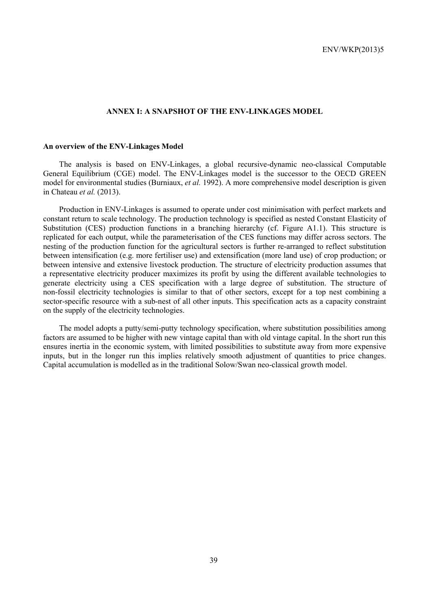## **ANNEX I: A SNAPSHOT OF THE ENV-LINKAGES MODEL**

#### **An overview of the ENV-Linkages Model**

The analysis is based on ENV-Linkages, a global recursive-dynamic neo-classical Computable General Equilibrium (CGE) model. The ENV-Linkages model is the successor to the OECD GREEN model for environmental studies (Burniaux, *et al.* 1992). A more comprehensive model description is given in Chateau *et al.* (2013).

Production in ENV-Linkages is assumed to operate under cost minimisation with perfect markets and constant return to scale technology. The production technology is specified as nested Constant Elasticity of Substitution (CES) production functions in a branching hierarchy (cf. Figure A1.1). This structure is replicated for each output, while the parameterisation of the CES functions may differ across sectors. The nesting of the production function for the agricultural sectors is further re-arranged to reflect substitution between intensification (e.g. more fertiliser use) and extensification (more land use) of crop production; or between intensive and extensive livestock production. The structure of electricity production assumes that a representative electricity producer maximizes its profit by using the different available technologies to generate electricity using a CES specification with a large degree of substitution. The structure of non-fossil electricity technologies is similar to that of other sectors, except for a top nest combining a sector-specific resource with a sub-nest of all other inputs. This specification acts as a capacity constraint on the supply of the electricity technologies.

The model adopts a putty/semi-putty technology specification, where substitution possibilities among factors are assumed to be higher with new vintage capital than with old vintage capital. In the short run this ensures inertia in the economic system, with limited possibilities to substitute away from more expensive inputs, but in the longer run this implies relatively smooth adjustment of quantities to price changes. Capital accumulation is modelled as in the traditional Solow/Swan neo-classical growth model.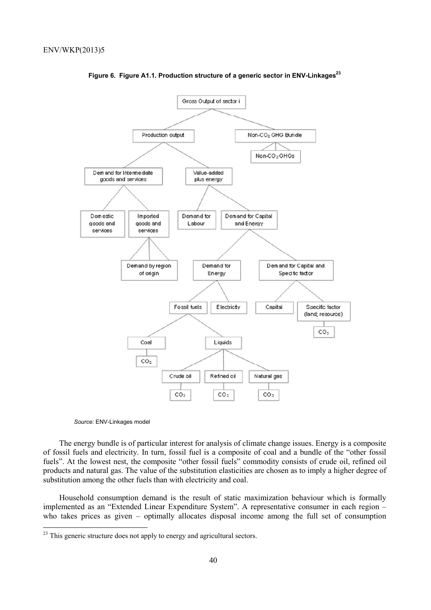

Figure 6. Figure A1.1. Production structure of a generic sector in ENV-Linkages<sup>23</sup>

 *Source:* ENV-Linkages model

l

The energy bundle is of particular interest for analysis of climate change issues. Energy is a composite of fossil fuels and electricity. In turn, fossil fuel is a composite of coal and a bundle of the "other fossil fuels". At the lowest nest, the composite "other fossil fuels" commodity consists of crude oil, refined oil products and natural gas. The value of the substitution elasticities are chosen as to imply a higher degree of substitution among the other fuels than with electricity and coal.

Household consumption demand is the result of static maximization behaviour which is formally implemented as an "Extended Linear Expenditure System". A representative consumer in each region – who takes prices as given – optimally allocates disposal income among the full set of consumption

 $^{23}$  This generic structure does not apply to energy and agricultural sectors.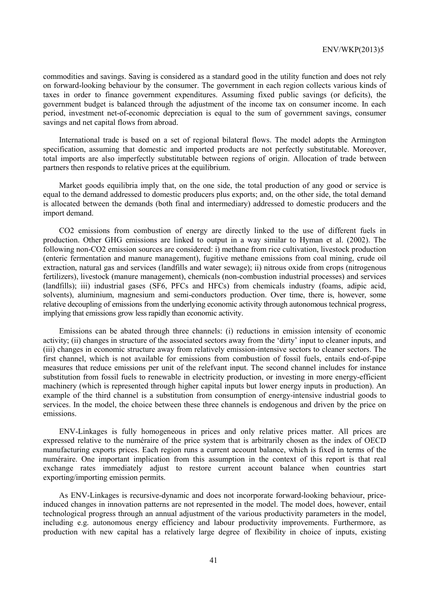commodities and savings. Saving is considered as a standard good in the utility function and does not rely on forward-looking behaviour by the consumer. The government in each region collects various kinds of taxes in order to finance government expenditures. Assuming fixed public savings (or deficits), the government budget is balanced through the adjustment of the income tax on consumer income. In each period, investment net-of-economic depreciation is equal to the sum of government savings, consumer savings and net capital flows from abroad.

International trade is based on a set of regional bilateral flows. The model adopts the Armington specification, assuming that domestic and imported products are not perfectly substitutable. Moreover, total imports are also imperfectly substitutable between regions of origin. Allocation of trade between partners then responds to relative prices at the equilibrium.

Market goods equilibria imply that, on the one side, the total production of any good or service is equal to the demand addressed to domestic producers plus exports; and, on the other side, the total demand is allocated between the demands (both final and intermediary) addressed to domestic producers and the import demand.

CO2 emissions from combustion of energy are directly linked to the use of different fuels in production. Other GHG emissions are linked to output in a way similar to Hyman et al. (2002). The following non-CO2 emission sources are considered: i) methane from rice cultivation, livestock production (enteric fermentation and manure management), fugitive methane emissions from coal mining, crude oil extraction, natural gas and services (landfills and water sewage); ii) nitrous oxide from crops (nitrogenous fertilizers), livestock (manure management), chemicals (non-combustion industrial processes) and services (landfills); iii) industrial gases (SF6, PFCs and HFCs) from chemicals industry (foams, adipic acid, solvents), aluminium, magnesium and semi-conductors production. Over time, there is, however, some relative decoupling of emissions from the underlying economic activity through autonomous technical progress, implying that emissions grow less rapidly than economic activity.

Emissions can be abated through three channels: (i) reductions in emission intensity of economic activity; (ii) changes in structure of the associated sectors away from the 'dirty' input to cleaner inputs, and (iii) changes in economic structure away from relatively emission-intensive sectors to cleaner sectors. The first channel, which is not available for emissions from combustion of fossil fuels, entails end-of-pipe measures that reduce emissions per unit of the relefvant input. The second channel includes for instance substitution from fossil fuels to renewable in electricity production, or investing in more energy-efficient machinery (which is represented through higher capital inputs but lower energy inputs in production). An example of the third channel is a substitution from consumption of energy-intensive industrial goods to services. In the model, the choice between these three channels is endogenous and driven by the price on emissions.

ENV-Linkages is fully homogeneous in prices and only relative prices matter. All prices are expressed relative to the numéraire of the price system that is arbitrarily chosen as the index of OECD manufacturing exports prices. Each region runs a current account balance, which is fixed in terms of the numéraire. One important implication from this assumption in the context of this report is that real exchange rates immediately adjust to restore current account balance when countries start exporting/importing emission permits.

As ENV-Linkages is recursive-dynamic and does not incorporate forward-looking behaviour, priceinduced changes in innovation patterns are not represented in the model. The model does, however, entail technological progress through an annual adjustment of the various productivity parameters in the model, including e.g. autonomous energy efficiency and labour productivity improvements. Furthermore, as production with new capital has a relatively large degree of flexibility in choice of inputs, existing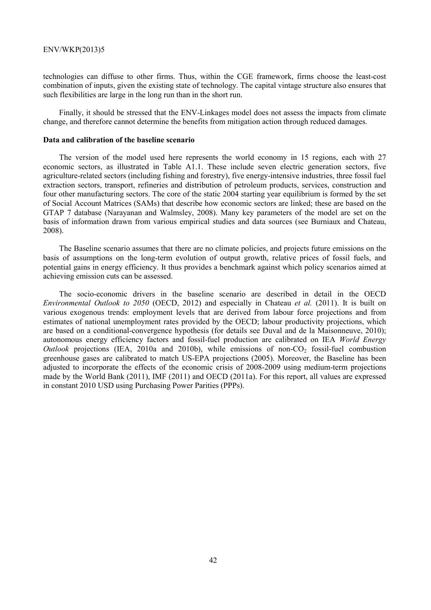technologies can diffuse to other firms. Thus, within the CGE framework, firms choose the least-cost combination of inputs, given the existing state of technology. The capital vintage structure also ensures that such flexibilities are large in the long run than in the short run.

Finally, it should be stressed that the ENV-Linkages model does not assess the impacts from climate change, and therefore cannot determine the benefits from mitigation action through reduced damages.

## **Data and calibration of the baseline scenario**

The version of the model used here represents the world economy in 15 regions, each with 27 economic sectors, as illustrated in Table A1.1. These include seven electric generation sectors, five agriculture-related sectors (including fishing and forestry), five energy-intensive industries, three fossil fuel extraction sectors, transport, refineries and distribution of petroleum products, services, construction and four other manufacturing sectors. The core of the static 2004 starting year equilibrium is formed by the set of Social Account Matrices (SAMs) that describe how economic sectors are linked; these are based on the GTAP 7 database (Narayanan and Walmsley, 2008). Many key parameters of the model are set on the basis of information drawn from various empirical studies and data sources (see Burniaux and Chateau, 2008).

The Baseline scenario assumes that there are no climate policies, and projects future emissions on the basis of assumptions on the long-term evolution of output growth, relative prices of fossil fuels, and potential gains in energy efficiency. It thus provides a benchmark against which policy scenarios aimed at achieving emission cuts can be assessed.

The socio-economic drivers in the baseline scenario are described in detail in the OECD *Environmental Outlook to 2050* (OECD, 2012) and especially in Chateau *et al.* (2011). It is built on various exogenous trends: employment levels that are derived from labour force projections and from estimates of national unemployment rates provided by the OECD; labour productivity projections, which are based on a conditional-convergence hypothesis (for details see Duval and de la Maisonneuve, 2010); autonomous energy efficiency factors and fossil-fuel production are calibrated on IEA *World Energy Outlook* projections (IEA, 2010a and 2010b), while emissions of non- $CO<sub>2</sub>$  fossil-fuel combustion greenhouse gases are calibrated to match US-EPA projections (2005). Moreover, the Baseline has been adjusted to incorporate the effects of the economic crisis of 2008-2009 using medium-term projections made by the World Bank (2011), IMF (2011) and OECD (2011a). For this report, all values are expressed in constant 2010 USD using Purchasing Power Parities (PPPs).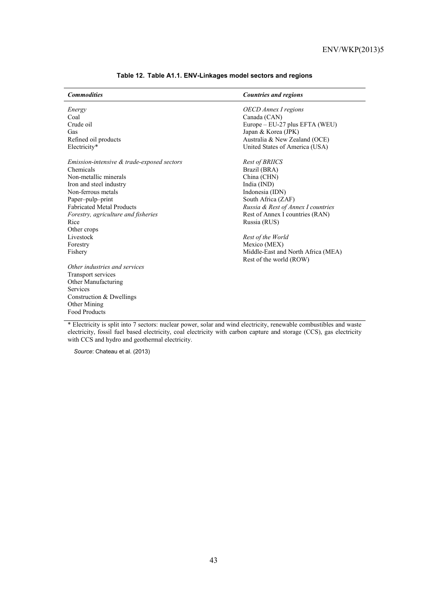| <b>Commodities</b>                                    | <b>Countries and regions</b>       |
|-------------------------------------------------------|------------------------------------|
| Energy                                                | <b>OECD</b> Annex I regions        |
| Coal                                                  | Canada (CAN)                       |
| Crude oil                                             | Europe – EU-27 plus EFTA (WEU)     |
| Gas                                                   | Japan & Korea (JPK)                |
| Refined oil products                                  | Australia & New Zealand (OCE)      |
| Electricity*                                          | United States of America (USA)     |
| <i>Emission-intensive &amp; trade-exposed sectors</i> | Rest of BRIICS                     |
| Chemicals                                             | Brazil (BRA)                       |
| Non-metallic minerals                                 | China (CHN)                        |
| Iron and steel industry                               | India (IND)                        |
| Non-ferrous metals                                    | Indonesia (IDN)                    |
| Paper-pulp-print                                      | South Africa (ZAF)                 |
| <b>Fabricated Metal Products</b>                      | Russia & Rest of Annex I countries |
| Forestry, agriculture and fisheries                   | Rest of Annex I countries (RAN)    |
| Rice                                                  | Russia (RUS)                       |
| Other crops                                           |                                    |
| Livestock                                             | Rest of the World                  |
| Forestry                                              | Mexico (MEX)                       |
| Fishery                                               | Middle-East and North Africa (MEA) |
|                                                       | Rest of the world (ROW)            |
| Other industries and services                         |                                    |
| Transport services                                    |                                    |
| Other Manufacturing                                   |                                    |
| <b>Services</b>                                       |                                    |
| Construction & Dwellings                              |                                    |
| Other Mining                                          |                                    |
| <b>Food Products</b>                                  |                                    |

## **Table 12. Table A1.1. ENV-Linkages model sectors and regions**

\* Electricity is split into 7 sectors: nuclear power, solar and wind electricity, renewable combustibles and waste electricity, fossil fuel based electricity, coal electricity with carbon capture and storage (CCS), gas electricity with CCS and hydro and geothermal electricity.

 *Source*: Chateau et al. (2013)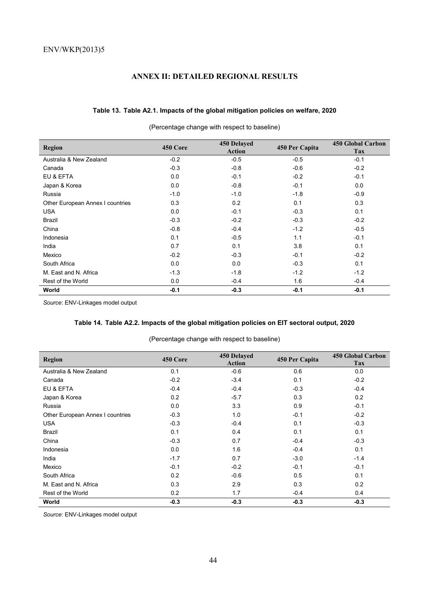# **ANNEX II: DETAILED REGIONAL RESULTS**

## **Table 13. Table A2.1. Impacts of the global mitigation policies on welfare, 2020**

| Region                           | 450 Core | 450 Delayed<br><b>Action</b> | 450 Per Capita | <b>450 Global Carbon</b><br><b>Tax</b> |
|----------------------------------|----------|------------------------------|----------------|----------------------------------------|
| Australia & New Zealand          | $-0.2$   | $-0.5$                       | $-0.5$         | $-0.1$                                 |
| Canada                           | $-0.3$   | $-0.8$                       | $-0.6$         | $-0.2$                                 |
| EU & EFTA                        | 0.0      | $-0.1$                       | $-0.2$         | $-0.1$                                 |
| Japan & Korea                    | 0.0      | $-0.8$                       | $-0.1$         | 0.0                                    |
| Russia                           | $-1.0$   | $-1.0$                       | $-1.8$         | $-0.9$                                 |
| Other European Annex I countries | 0.3      | 0.2                          | 0.1            | 0.3                                    |
| <b>USA</b>                       | 0.0      | $-0.1$                       | $-0.3$         | 0.1                                    |
| Brazil                           | $-0.3$   | $-0.2$                       | $-0.3$         | $-0.2$                                 |
| China                            | $-0.8$   | $-0.4$                       | $-1.2$         | $-0.5$                                 |
| Indonesia                        | 0.1      | $-0.5$                       | 1.1            | $-0.1$                                 |
| India                            | 0.7      | 0.1                          | 3.8            | 0.1                                    |
| Mexico                           | $-0.2$   | $-0.3$                       | $-0.1$         | $-0.2$                                 |
| South Africa                     | 0.0      | 0.0                          | $-0.3$         | 0.1                                    |
| M. East and N. Africa            | $-1.3$   | $-1.8$                       | $-1.2$         | $-1.2$                                 |
| Rest of the World                | 0.0      | $-0.4$                       | 1.6            | $-0.4$                                 |
| World                            | $-0.1$   | $-0.3$                       | $-0.1$         | $-0.1$                                 |

(Percentage change with respect to baseline)

*Source*: ENV-Linkages model output

## **Table 14. Table A2.2. Impacts of the global mitigation policies on EIT sectoral output, 2020**

(Percentage change with respect to baseline)

| Region                           | 450 Core | 450 Delayed<br><b>Action</b> | 450 Per Capita | <b>450 Global Carbon</b><br>Tax |
|----------------------------------|----------|------------------------------|----------------|---------------------------------|
| Australia & New Zealand          | 0.1      | $-0.6$                       | 0.6            | 0.0                             |
| Canada                           | $-0.2$   | $-3.4$                       | 0.1            | $-0.2$                          |
| EU & EFTA                        | $-0.4$   | $-0.4$                       | $-0.3$         | $-0.4$                          |
| Japan & Korea                    | 0.2      | $-5.7$                       | 0.3            | 0.2                             |
| Russia                           | 0.0      | 3.3                          | 0.9            | $-0.1$                          |
| Other European Annex I countries | $-0.3$   | 1.0                          | $-0.1$         | $-0.2$                          |
| <b>USA</b>                       | $-0.3$   | $-0.4$                       | 0.1            | $-0.3$                          |
| Brazil                           | 0.1      | 0.4                          | 0.1            | 0.1                             |
| China                            | $-0.3$   | 0.7                          | $-0.4$         | $-0.3$                          |
| Indonesia                        | 0.0      | 1.6                          | $-0.4$         | 0.1                             |
| India                            | $-1.7$   | 0.7                          | $-3.0$         | $-1.4$                          |
| Mexico                           | $-0.1$   | $-0.2$                       | $-0.1$         | $-0.1$                          |
| South Africa                     | 0.2      | $-0.6$                       | 0.5            | 0.1                             |
| M. East and N. Africa            | 0.3      | 2.9                          | 0.3            | 0.2                             |
| Rest of the World                | 0.2      | 1.7                          | $-0.4$         | 0.4                             |
| World                            | $-0.3$   | $-0.3$                       | $-0.3$         | $-0.3$                          |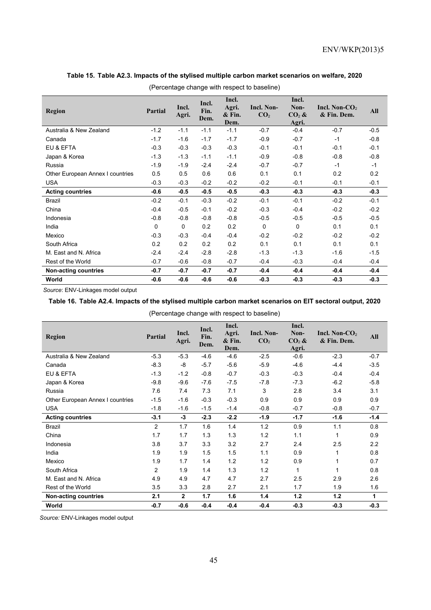## **Table 15. Table A2.3. Impacts of the stylised multiple carbon market scenarios on welfare, 2020**

| <b>Region</b>                    | <b>Partial</b> | Incl.<br>Agri. | Incl.<br>Fin.<br>Dem. | Incl.<br>Agri.<br>& Fin.<br>Dem. | Incl. Non-<br>CO <sub>2</sub> | Incl.<br>Non-<br>$CO2$ &<br>Agri. | Incl. Non- $CO2$<br>& Fin. Dem. | All    |
|----------------------------------|----------------|----------------|-----------------------|----------------------------------|-------------------------------|-----------------------------------|---------------------------------|--------|
| Australia & New Zealand          | $-1.2$         | $-1.1$         | $-1.1$                | $-1.1$                           | $-0.7$                        | $-0.4$                            | $-0.7$                          | $-0.5$ |
| Canada                           | $-1.7$         | $-1.6$         | $-1.7$                | $-1.7$                           | $-0.9$                        | $-0.7$                            | $-1$                            | $-0.8$ |
| EU & EFTA                        | $-0.3$         | $-0.3$         | $-0.3$                | $-0.3$                           | $-0.1$                        | $-0.1$                            | $-0.1$                          | $-0.1$ |
| Japan & Korea                    | $-1.3$         | $-1.3$         | $-1.1$                | $-1.1$                           | $-0.9$                        | $-0.8$                            | $-0.8$                          | $-0.8$ |
| Russia                           | $-1.9$         | $-1.9$         | $-2.4$                | $-2.4$                           | $-0.7$                        | $-0.7$                            | $-1$                            | $-1$   |
| Other European Annex I countries | 0.5            | 0.5            | 0.6                   | 0.6                              | 0.1                           | 0.1                               | 0.2                             | 0.2    |
| <b>USA</b>                       | $-0.3$         | $-0.3$         | $-0.2$                | $-0.2$                           | $-0.2$                        | $-0.1$                            | $-0.1$                          | $-0.1$ |
| <b>Acting countries</b>          | $-0.6$         | $-0.5$         | $-0.5$                | $-0.5$                           | $-0.3$                        | $-0.3$                            | $-0.3$                          | $-0.3$ |
| Brazil                           | $-0.2$         | $-0.1$         | $-0.3$                | $-0.2$                           | $-0.1$                        | $-0.1$                            | $-0.2$                          | $-0.1$ |
| China                            | $-0.4$         | $-0.5$         | $-0.1$                | $-0.2$                           | $-0.3$                        | $-0.4$                            | $-0.2$                          | $-0.2$ |
| Indonesia                        | $-0.8$         | $-0.8$         | $-0.8$                | $-0.8$                           | $-0.5$                        | $-0.5$                            | $-0.5$                          | $-0.5$ |
| India                            | 0              | $\mathbf 0$    | 0.2                   | 0.2                              | 0                             | $\Omega$                          | 0.1                             | 0.1    |
| Mexico                           | $-0.3$         | $-0.3$         | $-0.4$                | $-0.4$                           | $-0.2$                        | $-0.2$                            | $-0.2$                          | $-0.2$ |
| South Africa                     | 0.2            | 0.2            | 0.2                   | 0.2                              | 0.1                           | 0.1                               | 0.1                             | 0.1    |
| M. East and N. Africa            | $-2.4$         | $-2.4$         | $-2.8$                | $-2.8$                           | $-1.3$                        | $-1.3$                            | $-1.6$                          | $-1.5$ |
| Rest of the World                | $-0.7$         | $-0.6$         | $-0.8$                | $-0.7$                           | $-0.4$                        | $-0.3$                            | $-0.4$                          | $-0.4$ |
| Non-acting countries             | $-0.7$         | $-0.7$         | $-0.7$                | $-0.7$                           | $-0.4$                        | $-0.4$                            | $-0.4$                          | $-0.4$ |
| World                            | $-0.6$         | $-0.6$         | $-0.6$                | $-0.6$                           | $-0.3$                        | $-0.3$                            | $-0.3$                          | $-0.3$ |

(Percentage change with respect to baseline)

*Source*: ENV-Linkages model output

## **Table 16. Table A2.4. Impacts of the stylised multiple carbon market scenarios on EIT sectoral output, 2020**

(Percentage change with respect to baseline)

| <b>Region</b>                    | <b>Partial</b> | Incl.<br>Agri. | Incl.<br>Fin.<br>Dem. | Incl.<br>Agri.<br>& Fin.<br>Dem. | Incl. Non-<br>CO <sub>2</sub> | Incl.<br>Non-<br>$CO2$ &<br>Agri. | Incl. Non- $CO2$<br>& Fin. Dem. | <b>All</b> |
|----------------------------------|----------------|----------------|-----------------------|----------------------------------|-------------------------------|-----------------------------------|---------------------------------|------------|
| Australia & New Zealand          | $-5.3$         | $-5.3$         | $-4.6$                | $-4.6$                           | $-2.5$                        | $-0.6$                            | $-2.3$                          | $-0.7$     |
| Canada                           | $-8.3$         | -8             | $-5.7$                | $-5.6$                           | $-5.9$                        | $-4.6$                            | $-4.4$                          | $-3.5$     |
| EU & EFTA                        | $-1.3$         | $-1.2$         | $-0.8$                | $-0.7$                           | $-0.3$                        | $-0.3$                            | $-0.4$                          | $-0.4$     |
| Japan & Korea                    | $-9.8$         | $-9.6$         | $-7.6$                | $-7.5$                           | $-7.8$                        | $-7.3$                            | $-6.2$                          | $-5.8$     |
| Russia                           | 7.6            | 7.4            | 7.3                   | 7.1                              | 3                             | 2.8                               | 3.4                             | 3.1        |
| Other European Annex I countries | $-1.5$         | $-1.6$         | $-0.3$                | $-0.3$                           | 0.9                           | 0.9                               | 0.9                             | 0.9        |
| <b>USA</b>                       | $-1.8$         | $-1.6$         | $-1.5$                | $-1.4$                           | $-0.8$                        | $-0.7$                            | $-0.8$                          | $-0.7$     |
| <b>Acting countries</b>          | $-3.1$         | $-3$           | $-2.3$                | $-2.2$                           | $-1.9$                        | $-1.7$                            | $-1.6$                          | $-1.4$     |
| <b>Brazil</b>                    | 2              | 1.7            | 1.6                   | 1.4                              | 1.2                           | 0.9                               | 1.1                             | 0.8        |
| China                            | 1.7            | 1.7            | 1.3                   | 1.3                              | 1.2                           | 1.1                               | 1                               | 0.9        |
| Indonesia                        | 3.8            | 3.7            | 3.3                   | 3.2                              | 2.7                           | 2.4                               | 2.5                             | 2.2        |
| India                            | 1.9            | 1.9            | 1.5                   | 1.5                              | 1.1                           | 0.9                               |                                 | 0.8        |
| Mexico                           | 1.9            | 1.7            | 1.4                   | 1.2                              | 1.2                           | 0.9                               |                                 | 0.7        |
| South Africa                     | 2              | 1.9            | 1.4                   | 1.3                              | 1.2                           | 1                                 |                                 | 0.8        |
| M. East and N. Africa            | 4.9            | 4.9            | 4.7                   | 4.7                              | 2.7                           | 2.5                               | 2.9                             | 2.6        |
| Rest of the World                | 3.5            | 3.3            | 2.8                   | 2.7                              | 2.1                           | 1.7                               | 1.9                             | 1.6        |
| <b>Non-acting countries</b>      | 2.1            | $\overline{2}$ | 1.7                   | 1.6                              | 1.4                           | $1.2$                             | 1.2                             | 1          |
| World                            | $-0.7$         | $-0.6$         | $-0.4$                | $-0.4$                           | $-0.4$                        | $-0.3$                            | $-0.3$                          | $-0.3$     |